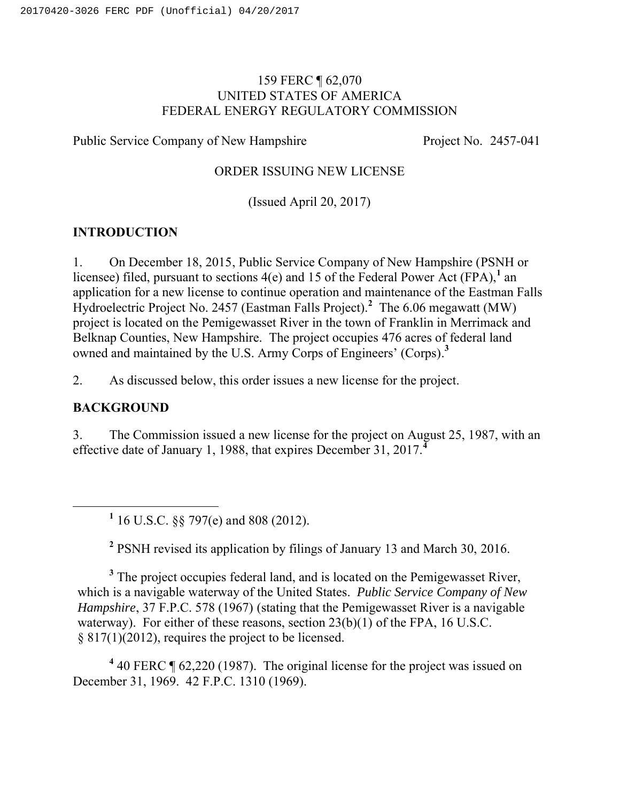### 159 FERC ¶ 62,070 UNITED STATES OF AMERICA FEDERAL ENERGY REGULATORY COMMISSION

Public Service Company of New Hampshire Project No. 2457-041

#### ORDER ISSUING NEW LICENSE

(Issued April 20, 2017)

## **INTRODUCTION**

1. On December 18, 2015, Public Service Company of New Hampshire (PSNH or licensee) filed, pursuant to sections  $4(e)$  and 15 of the Federal Power Act (FPA),<sup>1</sup> an application for a new license to continue operation and maintenance of the Eastman Falls Hydroelectric Project No. 2457 (Eastman Falls Project).**<sup>2</sup>** The 6.06 megawatt (MW) project is located on the Pemigewasset River in the town of Franklin in Merrimack and Belknap Counties, New Hampshire. The project occupies 476 acres of federal land owned and maintained by the U.S. Army Corps of Engineers' (Corps).**<sup>3</sup>**

2. As discussed below, this order issues a new license for the project.

### **BACKGROUND**

3. The Commission issued a new license for the project on August 25, 1987, with an effective date of January 1, 1988, that expires December 31, 2017.**<sup>4</sup>**

**<sup>1</sup>** 16 U.S.C. §§ 797(e) and 808 (2012).

**<sup>2</sup>** PSNH revised its application by filings of January 13 and March 30, 2016.

<sup>3</sup> The project occupies federal land, and is located on the Pemigewasset River, which is a navigable waterway of the United States. *Public Service Company of New Hampshire*, 37 F.P.C. 578 (1967) (stating that the Pemigewasset River is a navigable waterway). For either of these reasons, section 23(b)(1) of the FPA, 16 U.S.C. § 817(1)(2012), requires the project to be licensed.

**<sup>4</sup>** 40 FERC ¶ 62,220 (1987). The original license for the project was issued on December 31, 1969. 42 F.P.C. 1310 (1969).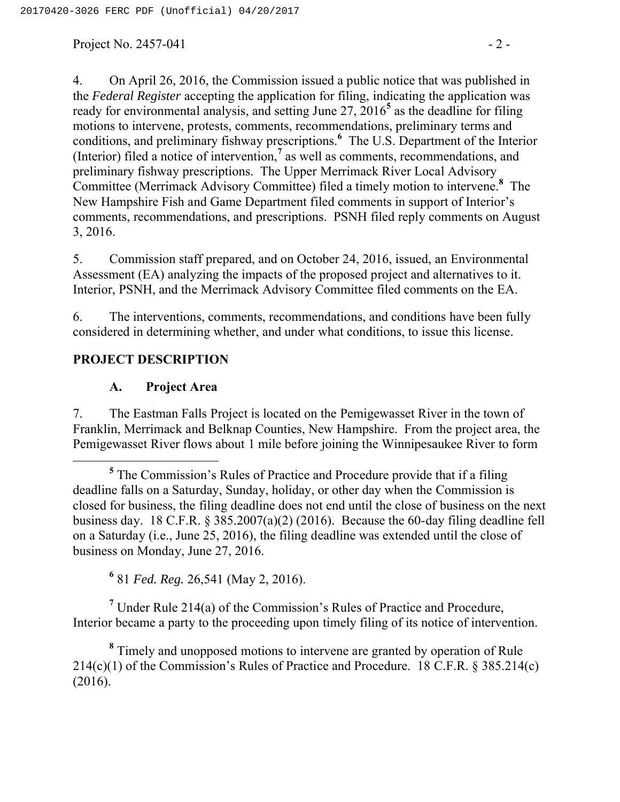Project No. 2457-041  $-2$  -

4. On April 26, 2016, the Commission issued a public notice that was published in the *Federal Register* accepting the application for filing, indicating the application was ready for environmental analysis, and setting June 27, 2016**<sup>5</sup>** as the deadline for filing motions to intervene, protests, comments, recommendations, preliminary terms and conditions, and preliminary fishway prescriptions.**<sup>6</sup>** The U.S. Department of the Interior (Interior) filed a notice of intervention,**<sup>7</sup>** as well as comments, recommendations, and preliminary fishway prescriptions. The Upper Merrimack River Local Advisory Committee (Merrimack Advisory Committee) filed a timely motion to intervene.**<sup>8</sup>** The New Hampshire Fish and Game Department filed comments in support of Interior's comments, recommendations, and prescriptions. PSNH filed reply comments on August 3, 2016.

5. Commission staff prepared, and on October 24, 2016, issued, an Environmental Assessment (EA) analyzing the impacts of the proposed project and alternatives to it. Interior, PSNH, and the Merrimack Advisory Committee filed comments on the EA.

6. The interventions, comments, recommendations, and conditions have been fully considered in determining whether, and under what conditions, to issue this license.

### **PROJECT DESCRIPTION**

#### **A. Project Area**

7. The Eastman Falls Project is located on the Pemigewasset River in the town of Franklin, Merrimack and Belknap Counties, New Hampshire. From the project area, the Pemigewasset River flows about 1 mile before joining the Winnipesaukee River to form

**<sup>6</sup>** 81 *Fed. Reg.* 26,541 (May 2, 2016).

**<sup>7</sup>** Under Rule 214(a) of the Commission's Rules of Practice and Procedure, Interior became a party to the proceeding upon timely filing of its notice of intervention.

**<sup>8</sup>** Timely and unopposed motions to intervene are granted by operation of Rule 214(c)(1) of the Commission's Rules of Practice and Procedure. 18 C.F.R. § 385.214(c) (2016).

**<sup>5</sup>** The Commission's Rules of Practice and Procedure provide that if a filing deadline falls on a Saturday, Sunday, holiday, or other day when the Commission is closed for business, the filing deadline does not end until the close of business on the next business day. 18 C.F.R. § 385.2007(a)(2) (2016). Because the 60-day filing deadline fell on a Saturday (i.e., June 25, 2016), the filing deadline was extended until the close of business on Monday, June 27, 2016.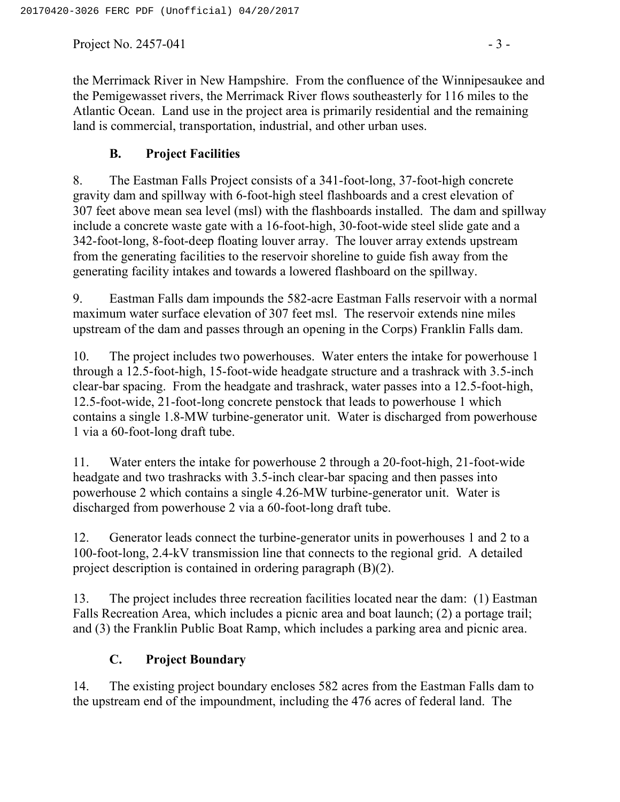Project No. 2457-041  $-3$  -

the Merrimack River in New Hampshire. From the confluence of the Winnipesaukee and the Pemigewasset rivers, the Merrimack River flows southeasterly for 116 miles to the Atlantic Ocean. Land use in the project area is primarily residential and the remaining land is commercial, transportation, industrial, and other urban uses.

## **B. Project Facilities**

8. The Eastman Falls Project consists of a 341-foot-long, 37-foot-high concrete gravity dam and spillway with 6-foot-high steel flashboards and a crest elevation of 307 feet above mean sea level (msl) with the flashboards installed. The dam and spillway include a concrete waste gate with a 16-foot-high, 30-foot-wide steel slide gate and a 342-foot-long, 8-foot-deep floating louver array. The louver array extends upstream from the generating facilities to the reservoir shoreline to guide fish away from the generating facility intakes and towards a lowered flashboard on the spillway.

9. Eastman Falls dam impounds the 582-acre Eastman Falls reservoir with a normal maximum water surface elevation of 307 feet msl. The reservoir extends nine miles upstream of the dam and passes through an opening in the Corps) Franklin Falls dam.

10. The project includes two powerhouses. Water enters the intake for powerhouse 1 through a 12.5-foot-high, 15-foot-wide headgate structure and a trashrack with 3.5-inch clear-bar spacing. From the headgate and trashrack, water passes into a 12.5-foot-high, 12.5-foot-wide, 21-foot-long concrete penstock that leads to powerhouse 1 which contains a single 1.8-MW turbine-generator unit. Water is discharged from powerhouse 1 via a 60-foot-long draft tube.

11. Water enters the intake for powerhouse 2 through a 20-foot-high, 21-foot-wide headgate and two trashracks with 3.5-inch clear-bar spacing and then passes into powerhouse 2 which contains a single 4.26-MW turbine-generator unit. Water is discharged from powerhouse 2 via a 60-foot-long draft tube.

12. Generator leads connect the turbine-generator units in powerhouses 1 and 2 to a 100-foot-long, 2.4-kV transmission line that connects to the regional grid. A detailed project description is contained in ordering paragraph (B)(2).

13. The project includes three recreation facilities located near the dam: (1) Eastman Falls Recreation Area, which includes a picnic area and boat launch; (2) a portage trail; and (3) the Franklin Public Boat Ramp, which includes a parking area and picnic area.

## **C. Project Boundary**

14. The existing project boundary encloses 582 acres from the Eastman Falls dam to the upstream end of the impoundment, including the 476 acres of federal land. The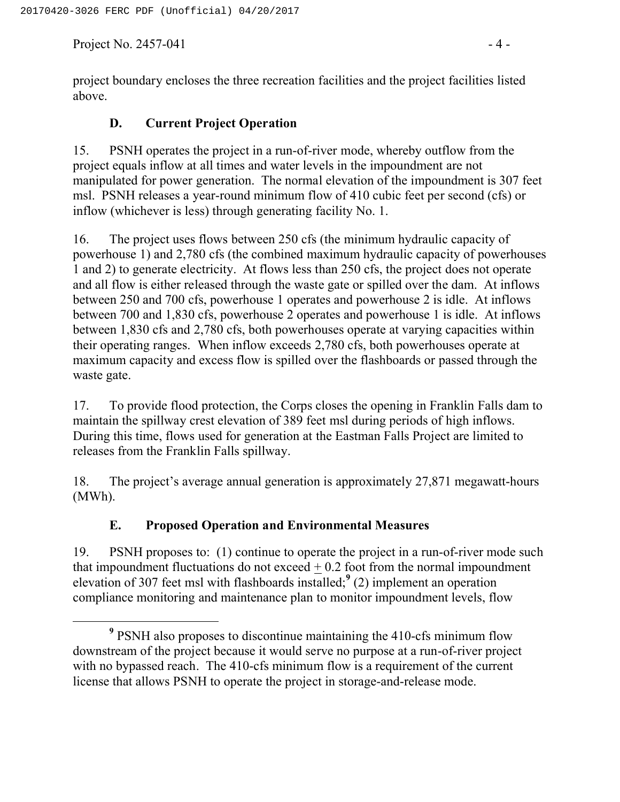Project No. 2457-041  $-4 -$ 

project boundary encloses the three recreation facilities and the project facilities listed above.

#### **D. Current Project Operation**

15. PSNH operates the project in a run-of-river mode, whereby outflow from the project equals inflow at all times and water levels in the impoundment are not manipulated for power generation. The normal elevation of the impoundment is 307 feet msl. PSNH releases a year-round minimum flow of 410 cubic feet per second (cfs) or inflow (whichever is less) through generating facility No. 1.

16. The project uses flows between 250 cfs (the minimum hydraulic capacity of powerhouse 1) and 2,780 cfs (the combined maximum hydraulic capacity of powerhouses 1 and 2) to generate electricity. At flows less than 250 cfs, the project does not operate and all flow is either released through the waste gate or spilled over the dam. At inflows between 250 and 700 cfs, powerhouse 1 operates and powerhouse 2 is idle. At inflows between 700 and 1,830 cfs, powerhouse 2 operates and powerhouse 1 is idle. At inflows between 1,830 cfs and 2,780 cfs, both powerhouses operate at varying capacities within their operating ranges. When inflow exceeds 2,780 cfs, both powerhouses operate at maximum capacity and excess flow is spilled over the flashboards or passed through the waste gate.

17. To provide flood protection, the Corps closes the opening in Franklin Falls dam to maintain the spillway crest elevation of 389 feet msl during periods of high inflows. During this time, flows used for generation at the Eastman Falls Project are limited to releases from the Franklin Falls spillway.

18. The project's average annual generation is approximately 27,871 megawatt-hours (MWh).

### **E. Proposed Operation and Environmental Measures**

19. PSNH proposes to: (1) continue to operate the project in a run-of-river mode such that impoundment fluctuations do not exceed  $+0.2$  foot from the normal impoundment elevation of 307 feet msl with flashboards installed;**<sup>9</sup>** (2) implement an operation compliance monitoring and maintenance plan to monitor impoundment levels, flow

**<sup>9</sup>** PSNH also proposes to discontinue maintaining the 410-cfs minimum flow downstream of the project because it would serve no purpose at a run-of-river project with no bypassed reach. The 410-cfs minimum flow is a requirement of the current license that allows PSNH to operate the project in storage-and-release mode.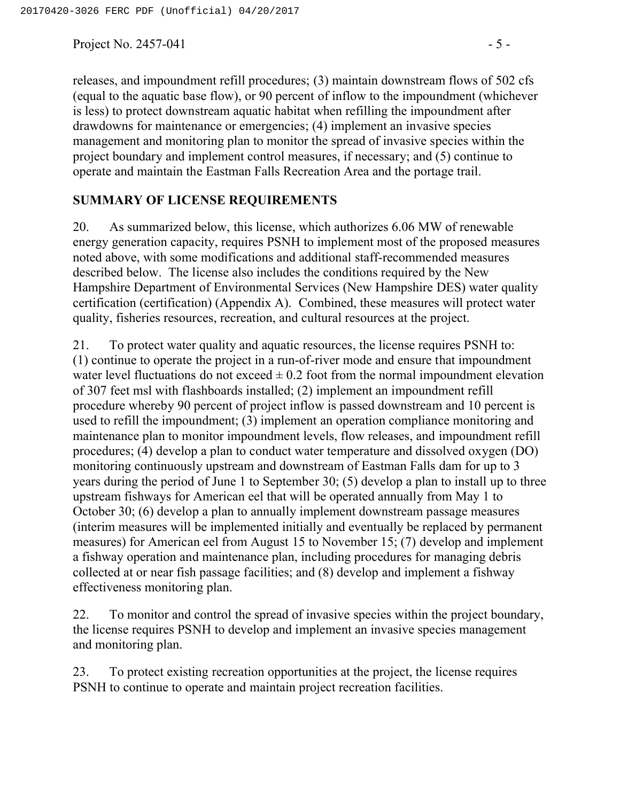Project No. 2457-041  $-5$  -

releases, and impoundment refill procedures; (3) maintain downstream flows of 502 cfs (equal to the aquatic base flow), or 90 percent of inflow to the impoundment (whichever is less) to protect downstream aquatic habitat when refilling the impoundment after drawdowns for maintenance or emergencies; (4) implement an invasive species management and monitoring plan to monitor the spread of invasive species within the project boundary and implement control measures, if necessary; and (5) continue to operate and maintain the Eastman Falls Recreation Area and the portage trail.

#### **SUMMARY OF LICENSE REQUIREMENTS**

20. As summarized below, this license, which authorizes 6.06 MW of renewable energy generation capacity, requires PSNH to implement most of the proposed measures noted above, with some modifications and additional staff-recommended measures described below. The license also includes the conditions required by the New Hampshire Department of Environmental Services (New Hampshire DES) water quality certification (certification) (Appendix A). Combined, these measures will protect water quality, fisheries resources, recreation, and cultural resources at the project.

21. To protect water quality and aquatic resources, the license requires PSNH to: (1) continue to operate the project in a run-of-river mode and ensure that impoundment water level fluctuations do not exceed  $\pm$  0.2 foot from the normal impoundment elevation of 307 feet msl with flashboards installed; (2) implement an impoundment refill procedure whereby 90 percent of project inflow is passed downstream and 10 percent is used to refill the impoundment; (3) implement an operation compliance monitoring and maintenance plan to monitor impoundment levels, flow releases, and impoundment refill procedures; (4) develop a plan to conduct water temperature and dissolved oxygen (DO) monitoring continuously upstream and downstream of Eastman Falls dam for up to 3 years during the period of June 1 to September 30; (5) develop a plan to install up to three upstream fishways for American eel that will be operated annually from May 1 to October 30; (6) develop a plan to annually implement downstream passage measures (interim measures will be implemented initially and eventually be replaced by permanent measures) for American eel from August 15 to November 15; (7) develop and implement a fishway operation and maintenance plan, including procedures for managing debris collected at or near fish passage facilities; and (8) develop and implement a fishway effectiveness monitoring plan.

22. To monitor and control the spread of invasive species within the project boundary, the license requires PSNH to develop and implement an invasive species management and monitoring plan.

23. To protect existing recreation opportunities at the project, the license requires PSNH to continue to operate and maintain project recreation facilities.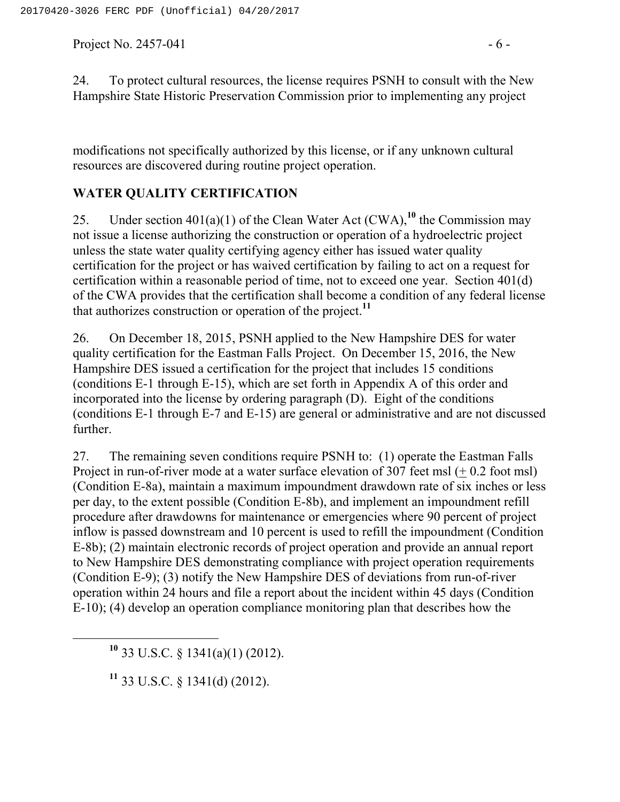Project No. 2457-041  $-6$  -

24. To protect cultural resources, the license requires PSNH to consult with the New Hampshire State Historic Preservation Commission prior to implementing any project

modifications not specifically authorized by this license, or if any unknown cultural resources are discovered during routine project operation.

### **WATER QUALITY CERTIFICATION**

25. Under section  $401(a)(1)$  of the Clean Water Act (CWA),<sup>10</sup> the Commission may not issue a license authorizing the construction or operation of a hydroelectric project unless the state water quality certifying agency either has issued water quality certification for the project or has waived certification by failing to act on a request for certification within a reasonable period of time, not to exceed one year. Section 401(d) of the CWA provides that the certification shall become a condition of any federal license that authorizes construction or operation of the project.**<sup>11</sup>**

26. On December 18, 2015, PSNH applied to the New Hampshire DES for water quality certification for the Eastman Falls Project. On December 15, 2016, the New Hampshire DES issued a certification for the project that includes 15 conditions (conditions E-1 through E-15), which are set forth in Appendix A of this order and incorporated into the license by ordering paragraph (D). Eight of the conditions (conditions E-1 through E-7 and E-15) are general or administrative and are not discussed further.

27. The remaining seven conditions require PSNH to: (1) operate the Eastman Falls Project in run-of-river mode at a water surface elevation of 307 feet msl (+0.2 foot msl) (Condition E-8a), maintain a maximum impoundment drawdown rate of six inches or less per day, to the extent possible (Condition E-8b), and implement an impoundment refill procedure after drawdowns for maintenance or emergencies where 90 percent of project inflow is passed downstream and 10 percent is used to refill the impoundment (Condition E-8b); (2) maintain electronic records of project operation and provide an annual report to New Hampshire DES demonstrating compliance with project operation requirements (Condition E-9); (3) notify the New Hampshire DES of deviations from run-of-river operation within 24 hours and file a report about the incident within 45 days (Condition E-10); (4) develop an operation compliance monitoring plan that describes how the

**<sup>10</sup>** 33 U.S.C. § 1341(a)(1) (2012).

**<sup>11</sup>** 33 U.S.C. § 1341(d) (2012).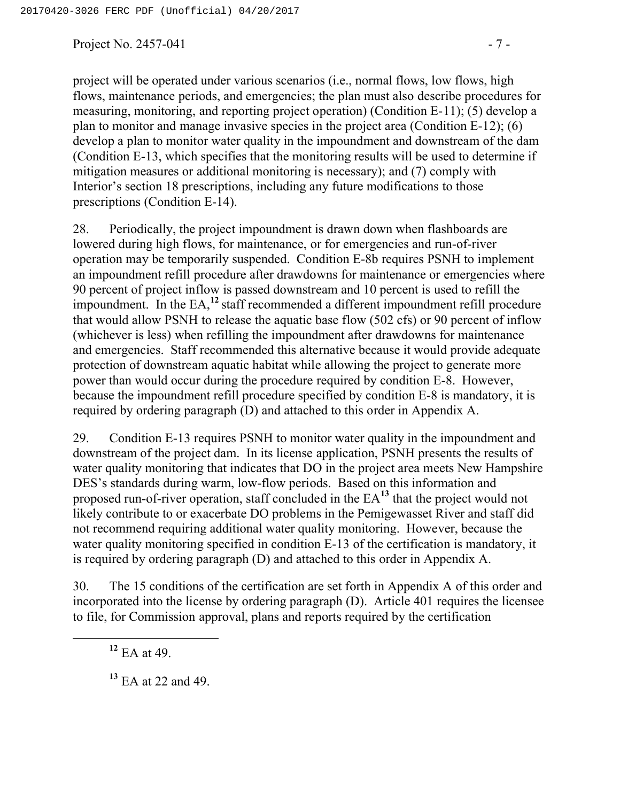Project No. 2457-041  $-7 -$ 

project will be operated under various scenarios (i.e., normal flows, low flows, high flows, maintenance periods, and emergencies; the plan must also describe procedures for measuring, monitoring, and reporting project operation) (Condition E-11); (5) develop a plan to monitor and manage invasive species in the project area (Condition E-12); (6) develop a plan to monitor water quality in the impoundment and downstream of the dam (Condition E-13, which specifies that the monitoring results will be used to determine if mitigation measures or additional monitoring is necessary); and (7) comply with Interior's section 18 prescriptions, including any future modifications to those prescriptions (Condition E-14).

28. Periodically, the project impoundment is drawn down when flashboards are lowered during high flows, for maintenance, or for emergencies and run-of-river operation may be temporarily suspended. Condition E-8b requires PSNH to implement an impoundment refill procedure after drawdowns for maintenance or emergencies where 90 percent of project inflow is passed downstream and 10 percent is used to refill the impoundment. In the EA,**<sup>12</sup>** staff recommended a different impoundment refill procedure that would allow PSNH to release the aquatic base flow (502 cfs) or 90 percent of inflow (whichever is less) when refilling the impoundment after drawdowns for maintenance and emergencies. Staff recommended this alternative because it would provide adequate protection of downstream aquatic habitat while allowing the project to generate more power than would occur during the procedure required by condition E-8. However, because the impoundment refill procedure specified by condition E-8 is mandatory, it is required by ordering paragraph (D) and attached to this order in Appendix A.

29. Condition E-13 requires PSNH to monitor water quality in the impoundment and downstream of the project dam. In its license application, PSNH presents the results of water quality monitoring that indicates that DO in the project area meets New Hampshire DES's standards during warm, low-flow periods. Based on this information and proposed run-of-river operation, staff concluded in the EA**<sup>13</sup>** that the project would not likely contribute to or exacerbate DO problems in the Pemigewasset River and staff did not recommend requiring additional water quality monitoring. However, because the water quality monitoring specified in condition E-13 of the certification is mandatory, it is required by ordering paragraph (D) and attached to this order in Appendix A.

30. The 15 conditions of the certification are set forth in Appendix A of this order and incorporated into the license by ordering paragraph (D). Article 401 requires the licensee to file, for Commission approval, plans and reports required by the certification

**<sup>12</sup>** EA at 49.

**<sup>13</sup>** EA at 22 and 49.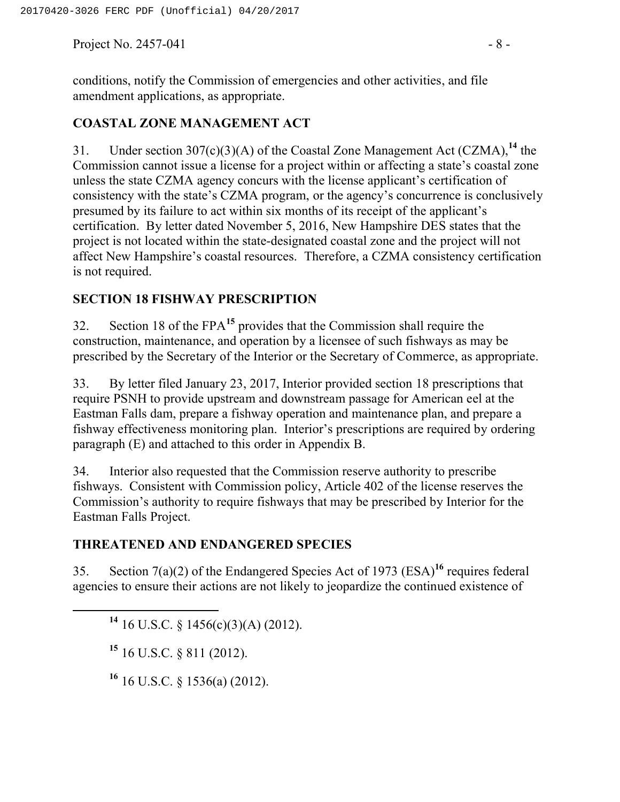Project No. 2457-041  $-8$  -

## **COASTAL ZONE MANAGEMENT ACT**

31. Under section 307(c)(3)(A) of the Coastal Zone Management Act (CZMA),**<sup>14</sup>** the Commission cannot issue a license for a project within or affecting a state's coastal zone unless the state CZMA agency concurs with the license applicant's certification of consistency with the state's CZMA program, or the agency's concurrence is conclusively presumed by its failure to act within six months of its receipt of the applicant's certification. By letter dated November 5, 2016, New Hampshire DES states that the project is not located within the state-designated coastal zone and the project will not affect New Hampshire's coastal resources. Therefore, a CZMA consistency certification is not required.

## **SECTION 18 FISHWAY PRESCRIPTION**

32. Section 18 of the FPA**<sup>15</sup>** provides that the Commission shall require the construction, maintenance, and operation by a licensee of such fishways as may be prescribed by the Secretary of the Interior or the Secretary of Commerce, as appropriate.

33. By letter filed January 23, 2017, Interior provided section 18 prescriptions that require PSNH to provide upstream and downstream passage for American eel at the Eastman Falls dam, prepare a fishway operation and maintenance plan, and prepare a fishway effectiveness monitoring plan. Interior's prescriptions are required by ordering paragraph (E) and attached to this order in Appendix B.

34. Interior also requested that the Commission reserve authority to prescribe fishways. Consistent with Commission policy, Article 402 of the license reserves the Commission's authority to require fishways that may be prescribed by Interior for the Eastman Falls Project.

### **THREATENED AND ENDANGERED SPECIES**

35. Section 7(a)(2) of the Endangered Species Act of 1973 (ESA)**<sup>16</sup>** requires federal agencies to ensure their actions are not likely to jeopardize the continued existence of

**<sup>14</sup>** 16 U.S.C. § 1456(c)(3)(A) (2012).

**<sup>15</sup>** 16 U.S.C. § 811 (2012).

**<sup>16</sup>** 16 U.S.C. § 1536(a) (2012).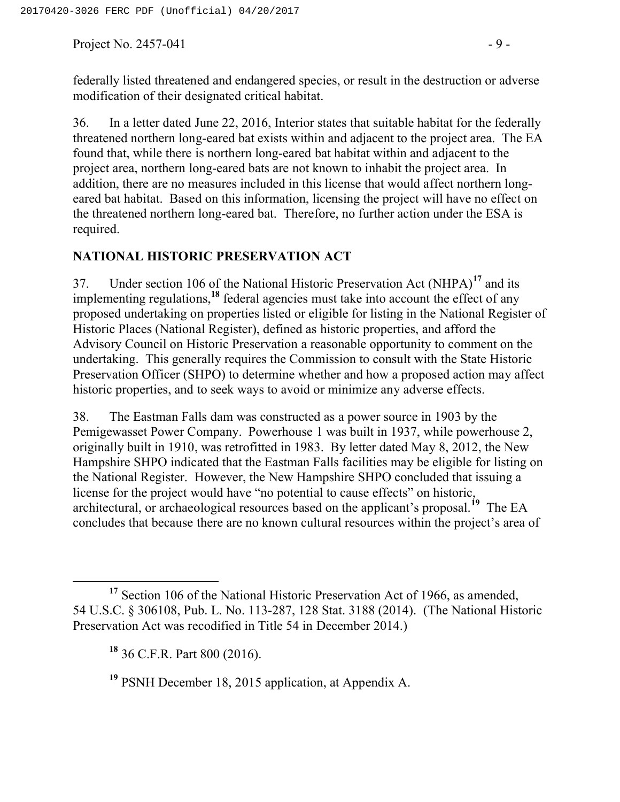Project No. 2457-041  $-9 -$ 

federally listed threatened and endangered species, or result in the destruction or adverse modification of their designated critical habitat.

36. In a letter dated June 22, 2016, Interior states that suitable habitat for the federally threatened northern long-eared bat exists within and adjacent to the project area. The EA found that, while there is northern long-eared bat habitat within and adjacent to the project area, northern long-eared bats are not known to inhabit the project area. In addition, there are no measures included in this license that would affect northern longeared bat habitat. Based on this information, licensing the project will have no effect on the threatened northern long-eared bat. Therefore, no further action under the ESA is required.

#### **NATIONAL HISTORIC PRESERVATION ACT**

37. Under section 106 of the National Historic Preservation Act (NHPA)**<sup>17</sup>** and its implementing regulations,**<sup>18</sup>** federal agencies must take into account the effect of any proposed undertaking on properties listed or eligible for listing in the National Register of Historic Places (National Register), defined as historic properties, and afford the Advisory Council on Historic Preservation a reasonable opportunity to comment on the undertaking. This generally requires the Commission to consult with the State Historic Preservation Officer (SHPO) to determine whether and how a proposed action may affect historic properties, and to seek ways to avoid or minimize any adverse effects.

38. The Eastman Falls dam was constructed as a power source in 1903 by the Pemigewasset Power Company. Powerhouse 1 was built in 1937, while powerhouse 2, originally built in 1910, was retrofitted in 1983. By letter dated May 8, 2012, the New Hampshire SHPO indicated that the Eastman Falls facilities may be eligible for listing on the National Register. However, the New Hampshire SHPO concluded that issuing a license for the project would have "no potential to cause effects" on historic, architectural, or archaeological resources based on the applicant's proposal.**<sup>19</sup>** The EA concludes that because there are no known cultural resources within the project's area of

<sup>&</sup>lt;sup>17</sup> Section 106 of the National Historic Preservation Act of 1966, as amended, 54 U.S.C. § 306108, Pub. L. No. 113-287, 128 Stat. 3188 (2014). (The National Historic Preservation Act was recodified in Title 54 in December 2014.)

**<sup>18</sup>** 36 C.F.R. Part 800 (2016).

**<sup>19</sup>** PSNH December 18, 2015 application, at Appendix A.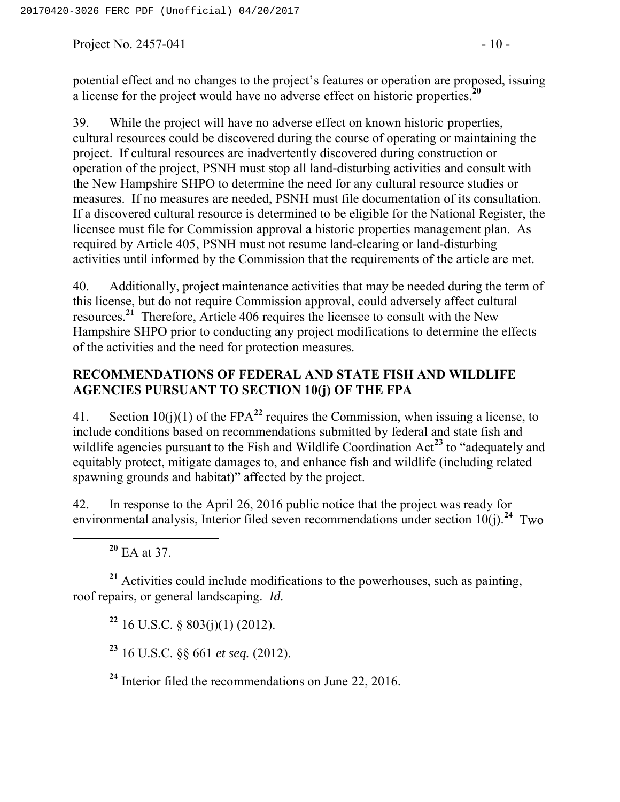Project No. 2457-041  $-10$  -

potential effect and no changes to the project's features or operation are proposed, issuing a license for the project would have no adverse effect on historic properties.**<sup>20</sup>**

39. While the project will have no adverse effect on known historic properties, cultural resources could be discovered during the course of operating or maintaining the project. If cultural resources are inadvertently discovered during construction or operation of the project, PSNH must stop all land-disturbing activities and consult with the New Hampshire SHPO to determine the need for any cultural resource studies or measures. If no measures are needed, PSNH must file documentation of its consultation. If a discovered cultural resource is determined to be eligible for the National Register, the licensee must file for Commission approval a historic properties management plan. As required by Article 405, PSNH must not resume land-clearing or land-disturbing activities until informed by the Commission that the requirements of the article are met.

40. Additionally, project maintenance activities that may be needed during the term of this license, but do not require Commission approval, could adversely affect cultural resources.**<sup>21</sup>** Therefore, Article 406 requires the licensee to consult with the New Hampshire SHPO prior to conducting any project modifications to determine the effects of the activities and the need for protection measures.

## **RECOMMENDATIONS OF FEDERAL AND STATE FISH AND WILDLIFE AGENCIES PURSUANT TO SECTION 10(j) OF THE FPA**

41. Section  $10(i)(1)$  of the FPA<sup>22</sup> requires the Commission, when issuing a license, to include conditions based on recommendations submitted by federal and state fish and wildlife agencies pursuant to the Fish and Wildlife Coordination Act<sup>23</sup> to "adequately and equitably protect, mitigate damages to, and enhance fish and wildlife (including related spawning grounds and habitat)" affected by the project.

42. In response to the April 26, 2016 public notice that the project was ready for environmental analysis, Interior filed seven recommendations under section 10(j).<sup>24</sup> Two

**<sup>20</sup>** EA at 37.

**<sup>21</sup>** Activities could include modifications to the powerhouses, such as painting, roof repairs, or general landscaping. *Id.* 

**<sup>22</sup>** 16 U.S.C. § 803(j)(1) (2012).

**<sup>23</sup>** 16 U.S.C. §§ 661 *et seq.* (2012).

**<sup>24</sup>** Interior filed the recommendations on June 22, 2016.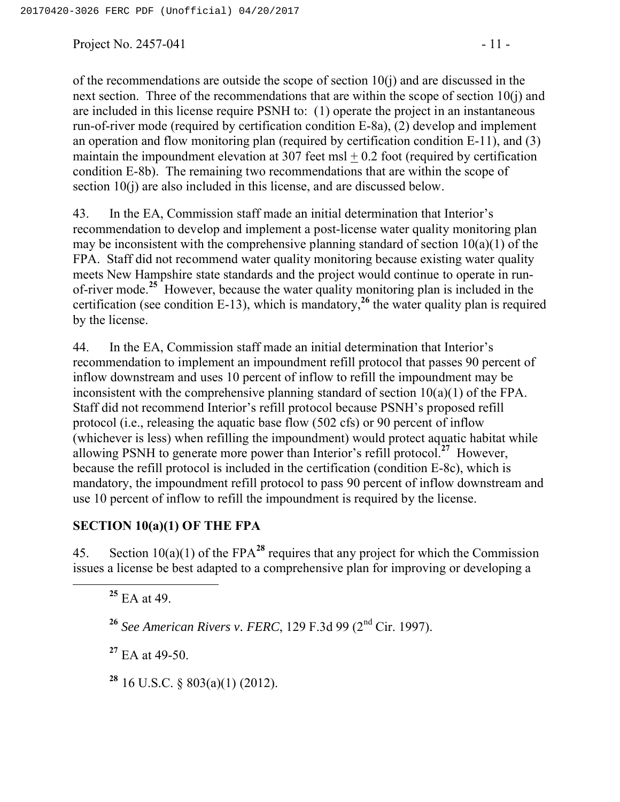Project No. 2457-041 - 11 -

of the recommendations are outside the scope of section  $10(i)$  and are discussed in the next section. Three of the recommendations that are within the scope of section 10(j) and are included in this license require PSNH to: (1) operate the project in an instantaneous run-of-river mode (required by certification condition E-8a), (2) develop and implement an operation and flow monitoring plan (required by certification condition E-11), and (3) maintain the impoundment elevation at 307 feet msl  $+$  0.2 foot (required by certification condition E-8b). The remaining two recommendations that are within the scope of section 10(j) are also included in this license, and are discussed below.

43. In the EA, Commission staff made an initial determination that Interior's recommendation to develop and implement a post-license water quality monitoring plan may be inconsistent with the comprehensive planning standard of section  $10(a)(1)$  of the FPA. Staff did not recommend water quality monitoring because existing water quality meets New Hampshire state standards and the project would continue to operate in runof-river mode.**<sup>25</sup>** However, because the water quality monitoring plan is included in the certification (see condition E-13), which is mandatory,**<sup>26</sup>** the water quality plan is required by the license.

44. In the EA, Commission staff made an initial determination that Interior's recommendation to implement an impoundment refill protocol that passes 90 percent of inflow downstream and uses 10 percent of inflow to refill the impoundment may be inconsistent with the comprehensive planning standard of section 10(a)(1) of the FPA. Staff did not recommend Interior's refill protocol because PSNH's proposed refill protocol (i.e., releasing the aquatic base flow (502 cfs) or 90 percent of inflow (whichever is less) when refilling the impoundment) would protect aquatic habitat while allowing PSNH to generate more power than Interior's refill protocol.**<sup>27</sup>** However, because the refill protocol is included in the certification (condition E-8c), which is mandatory, the impoundment refill protocol to pass 90 percent of inflow downstream and use 10 percent of inflow to refill the impoundment is required by the license.

#### **SECTION 10(a)(1) OF THE FPA**

45. Section 10(a)(1) of the FPA**<sup>28</sup>** requires that any project for which the Commission issues a license be best adapted to a comprehensive plan for improving or developing a

**<sup>25</sup>** EA at 49.

**<sup>26</sup>** *See American Rivers v. FERC*, 129 F.3d 99 (2nd Cir. 1997).

**<sup>27</sup>** EA at 49-50.

**<sup>28</sup>** 16 U.S.C. § 803(a)(1) (2012).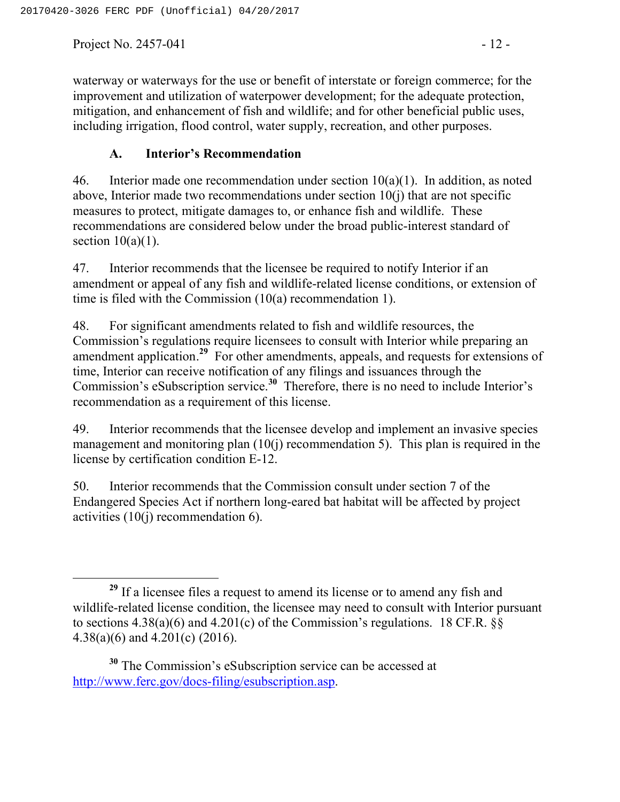Project No. 2457-041  $-12$  -

waterway or waterways for the use or benefit of interstate or foreign commerce; for the improvement and utilization of waterpower development; for the adequate protection, mitigation, and enhancement of fish and wildlife; and for other beneficial public uses, including irrigation, flood control, water supply, recreation, and other purposes.

## **A. Interior's Recommendation**

46. Interior made one recommendation under section  $10(a)(1)$ . In addition, as noted above, Interior made two recommendations under section 10(j) that are not specific measures to protect, mitigate damages to, or enhance fish and wildlife. These recommendations are considered below under the broad public-interest standard of section  $10(a)(1)$ .

47. Interior recommends that the licensee be required to notify Interior if an amendment or appeal of any fish and wildlife-related license conditions, or extension of time is filed with the Commission (10(a) recommendation 1).

48. For significant amendments related to fish and wildlife resources, the Commission's regulations require licensees to consult with Interior while preparing an amendment application.**<sup>29</sup>** For other amendments, appeals, and requests for extensions of time, Interior can receive notification of any filings and issuances through the Commission's eSubscription service.**<sup>30</sup>** Therefore, there is no need to include Interior's recommendation as a requirement of this license.

49. Interior recommends that the licensee develop and implement an invasive species management and monitoring plan  $(10(i))$  recommendation 5). This plan is required in the license by certification condition E-12.

50. Interior recommends that the Commission consult under section 7 of the Endangered Species Act if northern long-eared bat habitat will be affected by project activities (10(j) recommendation 6).

**<sup>29</sup>** If a licensee files a request to amend its license or to amend any fish and wildlife-related license condition, the licensee may need to consult with Interior pursuant to sections  $4.38(a)(6)$  and  $4.201(c)$  of the Commission's regulations. 18 CF.R.  $\S$ 4.38(a)(6) and 4.201(c) (2016).

**<sup>30</sup>** The Commission's eSubscription service can be accessed at http://www.ferc.gov/docs-filing/esubscription.asp.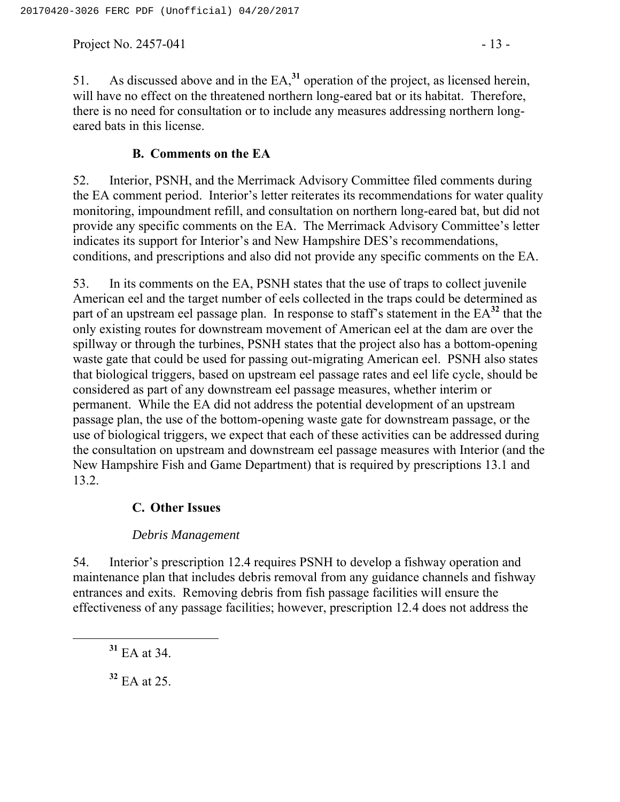Project No. 2457-041  $-13$  -

51. As discussed above and in the EA,**<sup>31</sup>** operation of the project, as licensed herein, will have no effect on the threatened northern long-eared bat or its habitat. Therefore, there is no need for consultation or to include any measures addressing northern longeared bats in this license.

#### **B. Comments on the EA**

52. Interior, PSNH, and the Merrimack Advisory Committee filed comments during the EA comment period. Interior's letter reiterates its recommendations for water quality monitoring, impoundment refill, and consultation on northern long-eared bat, but did not provide any specific comments on the EA. The Merrimack Advisory Committee's letter indicates its support for Interior's and New Hampshire DES's recommendations, conditions, and prescriptions and also did not provide any specific comments on the EA.

53. In its comments on the EA, PSNH states that the use of traps to collect juvenile American eel and the target number of eels collected in the traps could be determined as part of an upstream eel passage plan. In response to staff's statement in the EA**<sup>32</sup>** that the only existing routes for downstream movement of American eel at the dam are over the spillway or through the turbines, PSNH states that the project also has a bottom-opening waste gate that could be used for passing out-migrating American eel. PSNH also states that biological triggers, based on upstream eel passage rates and eel life cycle, should be considered as part of any downstream eel passage measures, whether interim or permanent. While the EA did not address the potential development of an upstream passage plan, the use of the bottom-opening waste gate for downstream passage, or the use of biological triggers, we expect that each of these activities can be addressed during the consultation on upstream and downstream eel passage measures with Interior (and the New Hampshire Fish and Game Department) that is required by prescriptions 13.1 and 13.2.

### **C. Other Issues**

### *Debris Management*

54. Interior's prescription 12.4 requires PSNH to develop a fishway operation and maintenance plan that includes debris removal from any guidance channels and fishway entrances and exits. Removing debris from fish passage facilities will ensure the effectiveness of any passage facilities; however, prescription 12.4 does not address the

**<sup>31</sup>** EA at 34.

**<sup>32</sup>** EA at 25.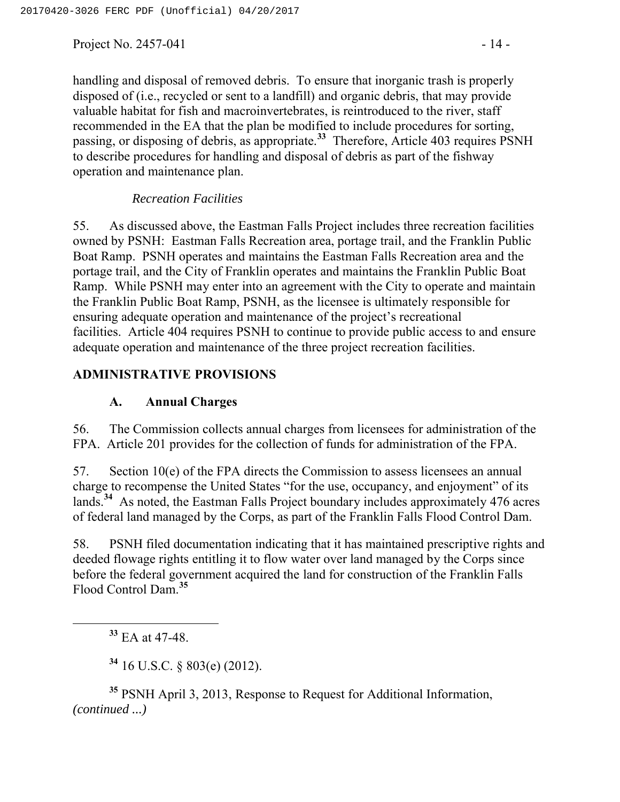Project No.  $2457-041$  - 14 -

handling and disposal of removed debris. To ensure that inorganic trash is properly disposed of (i.e., recycled or sent to a landfill) and organic debris, that may provide valuable habitat for fish and macroinvertebrates, is reintroduced to the river, staff recommended in the EA that the plan be modified to include procedures for sorting, passing, or disposing of debris, as appropriate.**<sup>33</sup>** Therefore, Article 403 requires PSNH to describe procedures for handling and disposal of debris as part of the fishway operation and maintenance plan.

#### *Recreation Facilities*

55. As discussed above, the Eastman Falls Project includes three recreation facilities owned by PSNH: Eastman Falls Recreation area, portage trail, and the Franklin Public Boat Ramp. PSNH operates and maintains the Eastman Falls Recreation area and the portage trail, and the City of Franklin operates and maintains the Franklin Public Boat Ramp. While PSNH may enter into an agreement with the City to operate and maintain the Franklin Public Boat Ramp, PSNH, as the licensee is ultimately responsible for ensuring adequate operation and maintenance of the project's recreational facilities. Article 404 requires PSNH to continue to provide public access to and ensure adequate operation and maintenance of the three project recreation facilities.

## **ADMINISTRATIVE PROVISIONS**

#### **A. Annual Charges**

56. The Commission collects annual charges from licensees for administration of the FPA. Article 201 provides for the collection of funds for administration of the FPA.

57. Section 10(e) of the FPA directs the Commission to assess licensees an annual charge to recompense the United States "for the use, occupancy, and enjoyment" of its lands.**<sup>34</sup>** As noted, the Eastman Falls Project boundary includes approximately 476 acres of federal land managed by the Corps, as part of the Franklin Falls Flood Control Dam.

58. PSNH filed documentation indicating that it has maintained prescriptive rights and deeded flowage rights entitling it to flow water over land managed by the Corps since before the federal government acquired the land for construction of the Franklin Falls Flood Control Dam.**<sup>35</sup>**

**<sup>33</sup>** EA at 47-48.

**<sup>34</sup>** 16 U.S.C. § 803(e) (2012).

**<sup>35</sup>** PSNH April 3, 2013, Response to Request for Additional Information, *(continued ...)*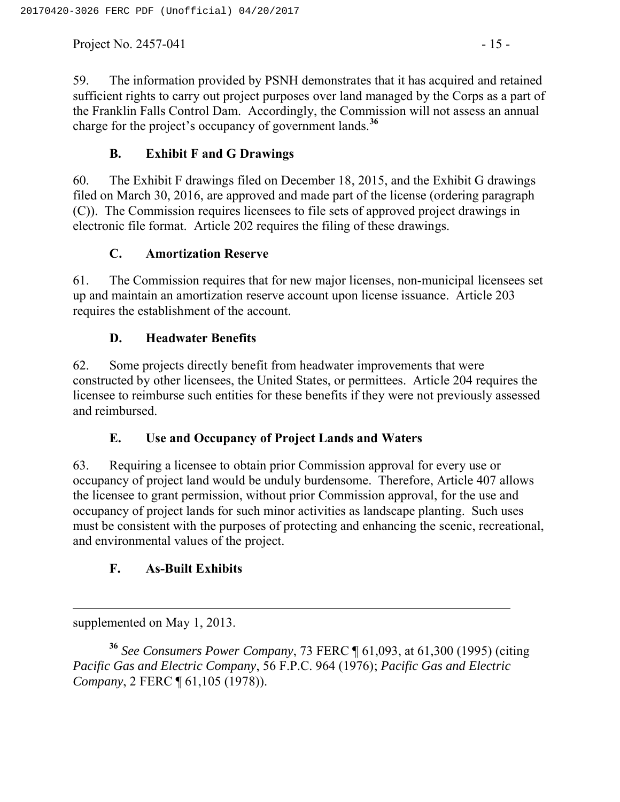Project No. 2457-041  $-15$  -

59. The information provided by PSNH demonstrates that it has acquired and retained sufficient rights to carry out project purposes over land managed by the Corps as a part of the Franklin Falls Control Dam. Accordingly, the Commission will not assess an annual charge for the project's occupancy of government lands.**<sup>36</sup>**

## **B. Exhibit F and G Drawings**

60. The Exhibit F drawings filed on December 18, 2015, and the Exhibit G drawings filed on March 30, 2016, are approved and made part of the license (ordering paragraph (C)). The Commission requires licensees to file sets of approved project drawings in electronic file format. Article 202 requires the filing of these drawings.

## **C. Amortization Reserve**

61. The Commission requires that for new major licenses, non-municipal licensees set up and maintain an amortization reserve account upon license issuance. Article 203 requires the establishment of the account.

## **D. Headwater Benefits**

62. Some projects directly benefit from headwater improvements that were constructed by other licensees, the United States, or permittees. Article 204 requires the licensee to reimburse such entities for these benefits if they were not previously assessed and reimbursed.

## **E. Use and Occupancy of Project Lands and Waters**

63. Requiring a licensee to obtain prior Commission approval for every use or occupancy of project land would be unduly burdensome. Therefore, Article 407 allows the licensee to grant permission, without prior Commission approval, for the use and occupancy of project lands for such minor activities as landscape planting. Such uses must be consistent with the purposes of protecting and enhancing the scenic, recreational, and environmental values of the project.

# **F. As-Built Exhibits**

 $\overline{a}$ supplemented on May 1, 2013.

**<sup>36</sup>** *See Consumers Power Company*, 73 FERC ¶ 61,093, at 61,300 (1995) (citing *Pacific Gas and Electric Company*, 56 F.P.C. 964 (1976); *Pacific Gas and Electric Company*, 2 FERC ¶ 61,105 (1978)).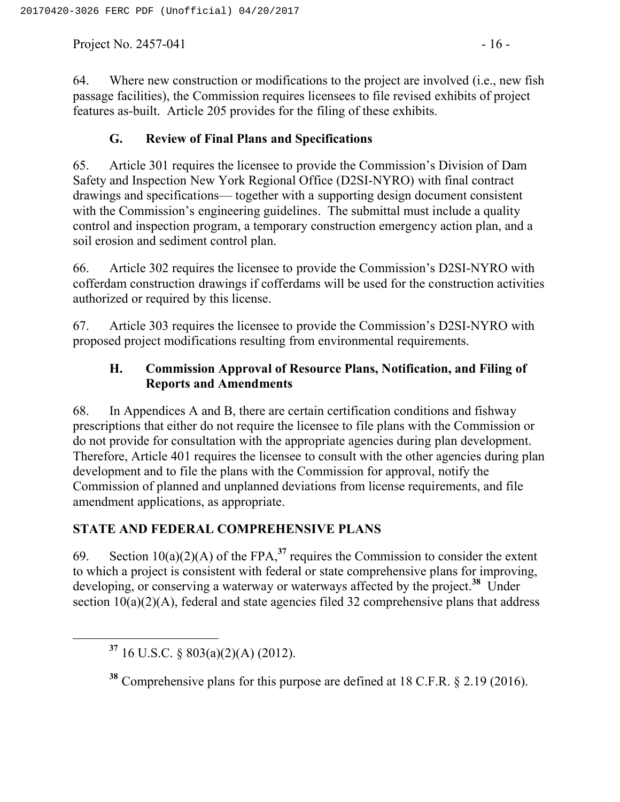Project No. 2457-041  $-16$  -

64. Where new construction or modifications to the project are involved (i.e., new fish passage facilities), the Commission requires licensees to file revised exhibits of project features as-built. Article 205 provides for the filing of these exhibits.

## **G. Review of Final Plans and Specifications**

65. Article 301 requires the licensee to provide the Commission's Division of Dam Safety and Inspection New York Regional Office (D2SI-NYRO) with final contract drawings and specifications— together with a supporting design document consistent with the Commission's engineering guidelines. The submittal must include a quality control and inspection program, a temporary construction emergency action plan, and a soil erosion and sediment control plan.

66. Article 302 requires the licensee to provide the Commission's D2SI-NYRO with cofferdam construction drawings if cofferdams will be used for the construction activities authorized or required by this license.

67. Article 303 requires the licensee to provide the Commission's D2SI-NYRO with proposed project modifications resulting from environmental requirements.

## **H. Commission Approval of Resource Plans, Notification, and Filing of Reports and Amendments**

68. In Appendices A and B, there are certain certification conditions and fishway prescriptions that either do not require the licensee to file plans with the Commission or do not provide for consultation with the appropriate agencies during plan development. Therefore, Article 401 requires the licensee to consult with the other agencies during plan development and to file the plans with the Commission for approval, notify the Commission of planned and unplanned deviations from license requirements, and file amendment applications, as appropriate.

# **STATE AND FEDERAL COMPREHENSIVE PLANS**

69. Section  $10(a)(2)(A)$  of the FPA,<sup>37</sup> requires the Commission to consider the extent to which a project is consistent with federal or state comprehensive plans for improving, developing, or conserving a waterway or waterways affected by the project.**<sup>38</sup>** Under section  $10(a)(2)(A)$ , federal and state agencies filed 32 comprehensive plans that address

**<sup>37</sup>** 16 U.S.C. § 803(a)(2)(A) (2012).

**<sup>38</sup>** Comprehensive plans for this purpose are defined at 18 C.F.R. § 2.19 (2016).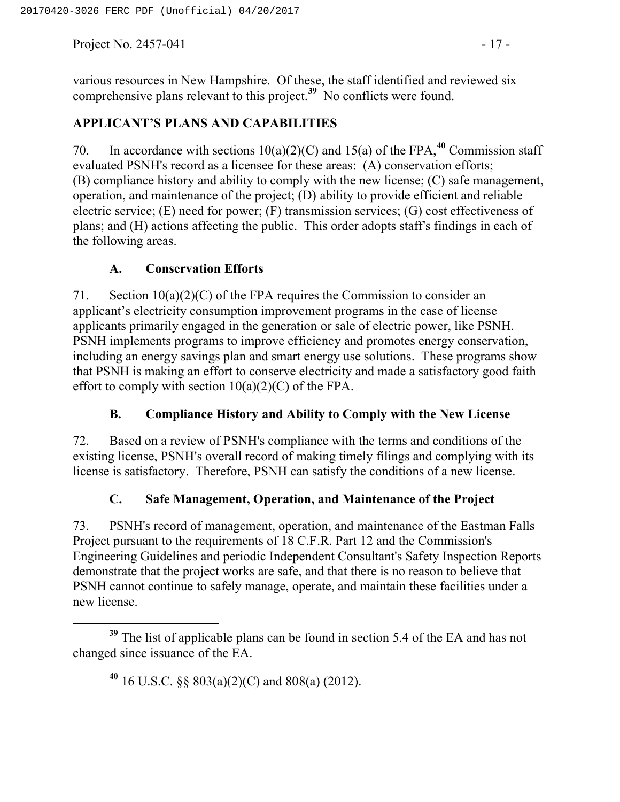Project No. 2457-041  $-17$  -

various resources in New Hampshire. Of these, the staff identified and reviewed six comprehensive plans relevant to this project.**<sup>39</sup>** No conflicts were found.

## **APPLICANT'S PLANS AND CAPABILITIES**

70. In accordance with sections 10(a)(2)(C) and 15(a) of the FPA,**<sup>40</sup>** Commission staff evaluated PSNH's record as a licensee for these areas: (A) conservation efforts; (B) compliance history and ability to comply with the new license; (C) safe management, operation, and maintenance of the project; (D) ability to provide efficient and reliable electric service; (E) need for power; (F) transmission services; (G) cost effectiveness of plans; and (H) actions affecting the public. This order adopts staff's findings in each of the following areas.

### **A. Conservation Efforts**

71. Section  $10(a)(2)(C)$  of the FPA requires the Commission to consider an applicant's electricity consumption improvement programs in the case of license applicants primarily engaged in the generation or sale of electric power, like PSNH. PSNH implements programs to improve efficiency and promotes energy conservation, including an energy savings plan and smart energy use solutions. These programs show that PSNH is making an effort to conserve electricity and made a satisfactory good faith effort to comply with section  $10(a)(2)(C)$  of the FPA.

### **B. Compliance History and Ability to Comply with the New License**

72. Based on a review of PSNH's compliance with the terms and conditions of the existing license, PSNH's overall record of making timely filings and complying with its license is satisfactory. Therefore, PSNH can satisfy the conditions of a new license.

## **C. Safe Management, Operation, and Maintenance of the Project**

73. PSNH's record of management, operation, and maintenance of the Eastman Falls Project pursuant to the requirements of 18 C.F.R. Part 12 and the Commission's Engineering Guidelines and periodic Independent Consultant's Safety Inspection Reports demonstrate that the project works are safe, and that there is no reason to believe that PSNH cannot continue to safely manage, operate, and maintain these facilities under a new license.

**<sup>40</sup>** 16 U.S.C. §§ 803(a)(2)(C) and 808(a) (2012).

**<sup>39</sup>** The list of applicable plans can be found in section 5.4 of the EA and has not changed since issuance of the EA.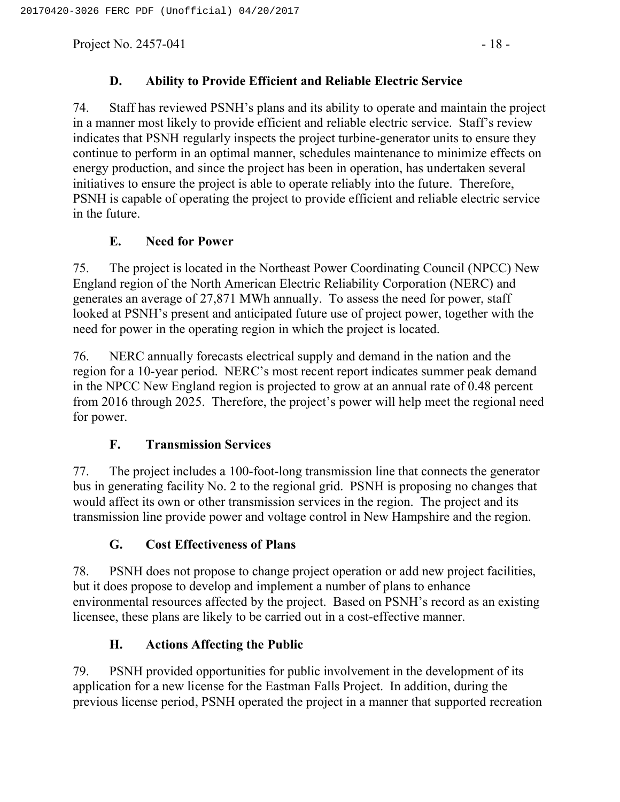Project No.  $2457-041$  - 18 -

## **D. Ability to Provide Efficient and Reliable Electric Service**

74. Staff has reviewed PSNH's plans and its ability to operate and maintain the project in a manner most likely to provide efficient and reliable electric service. Staff's review indicates that PSNH regularly inspects the project turbine-generator units to ensure they continue to perform in an optimal manner, schedules maintenance to minimize effects on energy production, and since the project has been in operation, has undertaken several initiatives to ensure the project is able to operate reliably into the future. Therefore, PSNH is capable of operating the project to provide efficient and reliable electric service in the future.

## **E. Need for Power**

75. The project is located in the Northeast Power Coordinating Council (NPCC) New England region of the North American Electric Reliability Corporation (NERC) and generates an average of 27,871 MWh annually. To assess the need for power, staff looked at PSNH's present and anticipated future use of project power, together with the need for power in the operating region in which the project is located.

76. NERC annually forecasts electrical supply and demand in the nation and the region for a 10-year period. NERC's most recent report indicates summer peak demand in the NPCC New England region is projected to grow at an annual rate of 0.48 percent from 2016 through 2025. Therefore, the project's power will help meet the regional need for power.

## **F. Transmission Services**

77. The project includes a 100-foot-long transmission line that connects the generator bus in generating facility No. 2 to the regional grid. PSNH is proposing no changes that would affect its own or other transmission services in the region. The project and its transmission line provide power and voltage control in New Hampshire and the region.

## **G. Cost Effectiveness of Plans**

78. PSNH does not propose to change project operation or add new project facilities, but it does propose to develop and implement a number of plans to enhance environmental resources affected by the project. Based on PSNH's record as an existing licensee, these plans are likely to be carried out in a cost-effective manner.

## **H. Actions Affecting the Public**

79. PSNH provided opportunities for public involvement in the development of its application for a new license for the Eastman Falls Project. In addition, during the previous license period, PSNH operated the project in a manner that supported recreation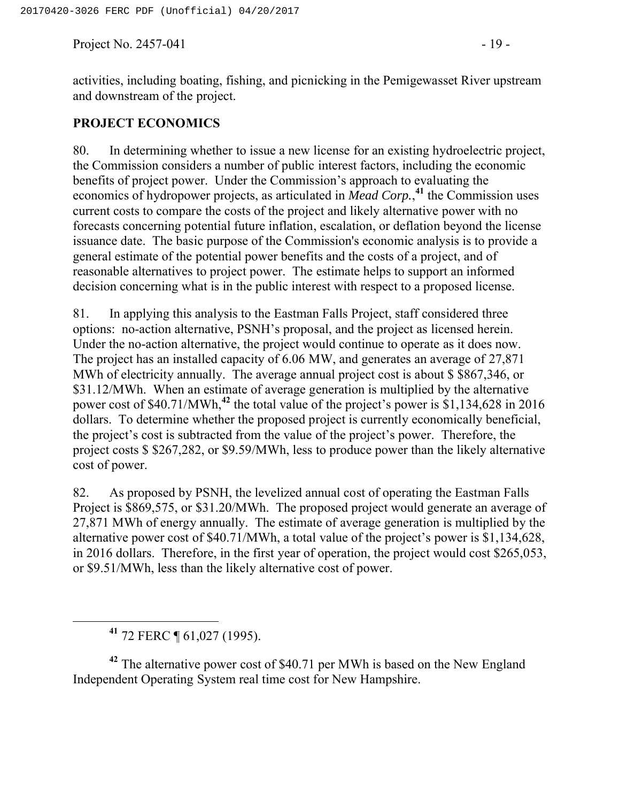Project No. 2457-041  $-19$  -

activities, including boating, fishing, and picnicking in the Pemigewasset River upstream and downstream of the project.

#### **PROJECT ECONOMICS**

80. In determining whether to issue a new license for an existing hydroelectric project, the Commission considers a number of public interest factors, including the economic benefits of project power. Under the Commission's approach to evaluating the economics of hydropower projects, as articulated in *Mead Corp.*, **<sup>41</sup>** the Commission uses current costs to compare the costs of the project and likely alternative power with no forecasts concerning potential future inflation, escalation, or deflation beyond the license issuance date. The basic purpose of the Commission's economic analysis is to provide a general estimate of the potential power benefits and the costs of a project, and of reasonable alternatives to project power. The estimate helps to support an informed decision concerning what is in the public interest with respect to a proposed license.

81. In applying this analysis to the Eastman Falls Project, staff considered three options: no-action alternative, PSNH's proposal, and the project as licensed herein. Under the no-action alternative, the project would continue to operate as it does now. The project has an installed capacity of 6.06 MW, and generates an average of 27,871 MWh of electricity annually. The average annual project cost is about \$ \$867,346, or \$31.12/MWh. When an estimate of average generation is multiplied by the alternative power cost of \$40.71/MWh,**<sup>42</sup>** the total value of the project's power is \$1,134,628 in 2016 dollars. To determine whether the proposed project is currently economically beneficial, the project's cost is subtracted from the value of the project's power. Therefore, the project costs \$ \$267,282, or \$9.59/MWh, less to produce power than the likely alternative cost of power.

82. As proposed by PSNH, the levelized annual cost of operating the Eastman Falls Project is \$869,575, or \$31.20/MWh. The proposed project would generate an average of 27,871 MWh of energy annually. The estimate of average generation is multiplied by the alternative power cost of \$40.71/MWh, a total value of the project's power is \$1,134,628, in 2016 dollars. Therefore, in the first year of operation, the project would cost \$265,053, or \$9.51/MWh, less than the likely alternative cost of power.

**<sup>41</sup>** 72 FERC ¶ 61,027 (1995).

**<sup>42</sup>** The alternative power cost of \$40.71 per MWh is based on the New England Independent Operating System real time cost for New Hampshire.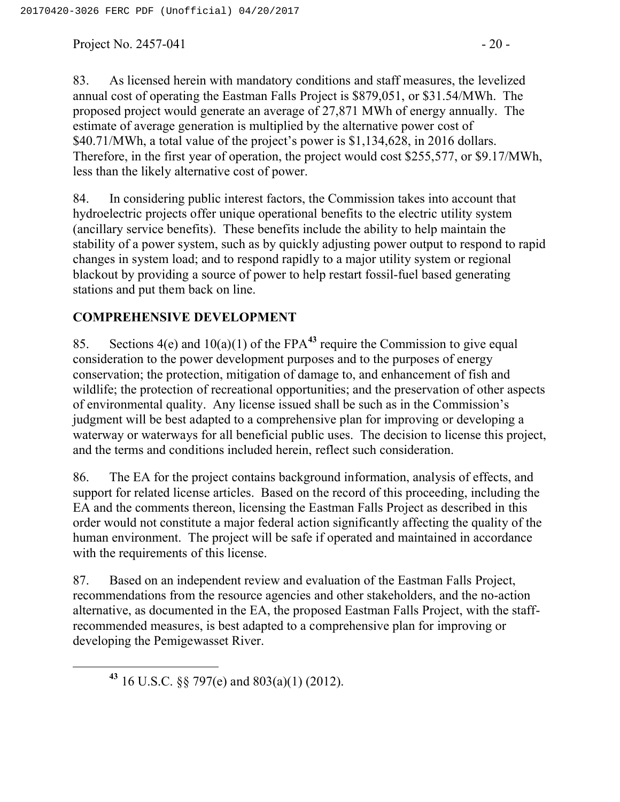Project No.  $2457-041$  - 20 -

83. As licensed herein with mandatory conditions and staff measures, the levelized annual cost of operating the Eastman Falls Project is \$879,051, or \$31.54/MWh. The proposed project would generate an average of 27,871 MWh of energy annually. The estimate of average generation is multiplied by the alternative power cost of \$40.71/MWh, a total value of the project's power is \$1,134,628, in 2016 dollars. Therefore, in the first year of operation, the project would cost \$255,577, or \$9.17/MWh, less than the likely alternative cost of power.

84. In considering public interest factors, the Commission takes into account that hydroelectric projects offer unique operational benefits to the electric utility system (ancillary service benefits). These benefits include the ability to help maintain the stability of a power system, such as by quickly adjusting power output to respond to rapid changes in system load; and to respond rapidly to a major utility system or regional blackout by providing a source of power to help restart fossil-fuel based generating stations and put them back on line.

## **COMPREHENSIVE DEVELOPMENT**

85. Sections 4(e) and 10(a)(1) of the FPA**<sup>43</sup>** require the Commission to give equal consideration to the power development purposes and to the purposes of energy conservation; the protection, mitigation of damage to, and enhancement of fish and wildlife; the protection of recreational opportunities; and the preservation of other aspects of environmental quality. Any license issued shall be such as in the Commission's judgment will be best adapted to a comprehensive plan for improving or developing a waterway or waterways for all beneficial public uses. The decision to license this project, and the terms and conditions included herein, reflect such consideration.

86. The EA for the project contains background information, analysis of effects, and support for related license articles. Based on the record of this proceeding, including the EA and the comments thereon, licensing the Eastman Falls Project as described in this order would not constitute a major federal action significantly affecting the quality of the human environment. The project will be safe if operated and maintained in accordance with the requirements of this license.

87. Based on an independent review and evaluation of the Eastman Falls Project, recommendations from the resource agencies and other stakeholders, and the no-action alternative, as documented in the EA, the proposed Eastman Falls Project, with the staffrecommended measures, is best adapted to a comprehensive plan for improving or developing the Pemigewasset River.

**<sup>43</sup>** 16 U.S.C. §§ 797(e) and 803(a)(1) (2012).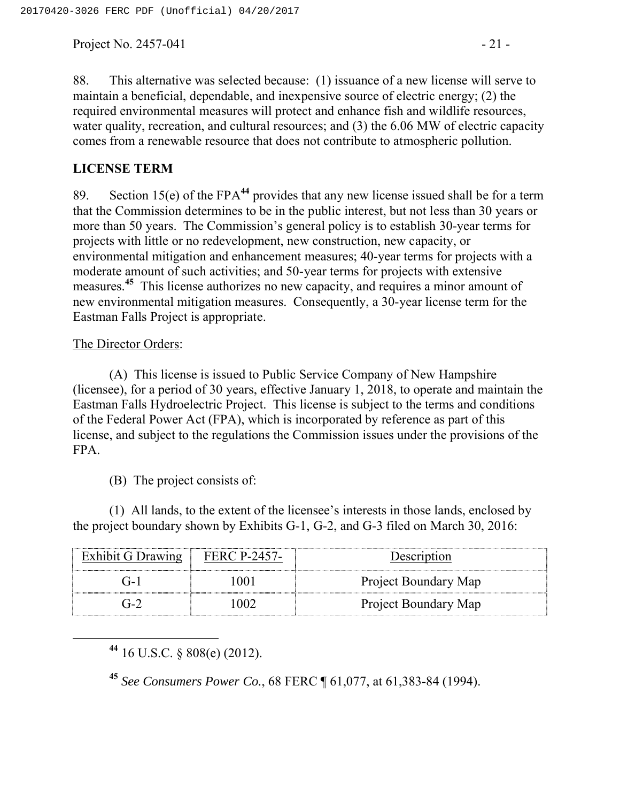Project No.  $2457-041$  - 21 -

88. This alternative was selected because: (1) issuance of a new license will serve to maintain a beneficial, dependable, and inexpensive source of electric energy; (2) the required environmental measures will protect and enhance fish and wildlife resources, water quality, recreation, and cultural resources; and (3) the 6.06 MW of electric capacity comes from a renewable resource that does not contribute to atmospheric pollution.

#### **LICENSE TERM**

89. Section 15(e) of the FPA**<sup>44</sup>** provides that any new license issued shall be for a term that the Commission determines to be in the public interest, but not less than 30 years or more than 50 years. The Commission's general policy is to establish 30-year terms for projects with little or no redevelopment, new construction, new capacity, or environmental mitigation and enhancement measures; 40-year terms for projects with a moderate amount of such activities; and 50-year terms for projects with extensive measures.**<sup>45</sup>** This license authorizes no new capacity, and requires a minor amount of new environmental mitigation measures. Consequently, a 30-year license term for the Eastman Falls Project is appropriate.

#### The Director Orders:

(A) This license is issued to Public Service Company of New Hampshire (licensee), for a period of 30 years, effective January 1, 2018, to operate and maintain the Eastman Falls Hydroelectric Project. This license is subject to the terms and conditions of the Federal Power Act (FPA), which is incorporated by reference as part of this license, and subject to the regulations the Commission issues under the provisions of the FPA.

(B) The project consists of:

(1) All lands, to the extent of the licensee's interests in those lands, enclosed by the project boundary shown by Exhibits G-1, G-2, and G-3 filed on March 30, 2016:

| Exhibit G Drawing | <b>FERC P-2457-</b> | Description          |
|-------------------|---------------------|----------------------|
|                   |                     | Project Boundary Map |
| $(1 - 7)$         |                     | Project Boundary Map |

**<sup>44</sup>** 16 U.S.C. § 808(e) (2012).

**<sup>45</sup>** *See Consumers Power Co.*, 68 FERC ¶ 61,077, at 61,383-84 (1994).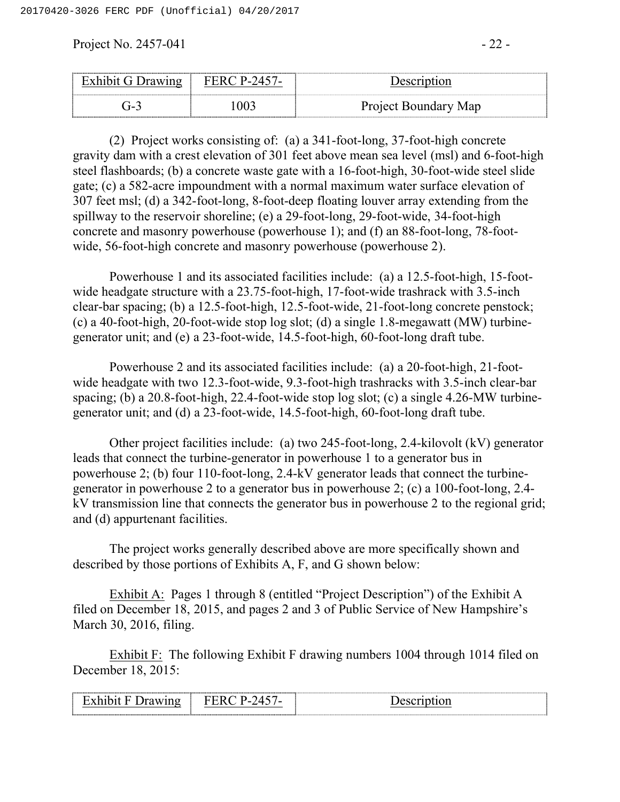Project No.  $2457-041$  -  $22-$ 

| ╺               | <br>-------------------- |                                       |
|-----------------|--------------------------|---------------------------------------|
| ∽<br>$T -$<br>~ |                          | Project Boundary<br>Map<br><b>. .</b> |

(2) Project works consisting of: (a) a 341-foot-long, 37-foot-high concrete gravity dam with a crest elevation of 301 feet above mean sea level (msl) and 6-foot-high steel flashboards; (b) a concrete waste gate with a 16-foot-high, 30-foot-wide steel slide gate; (c) a 582-acre impoundment with a normal maximum water surface elevation of 307 feet msl; (d) a 342-foot-long, 8-foot-deep floating louver array extending from the spillway to the reservoir shoreline; (e) a 29-foot-long, 29-foot-wide, 34-foot-high concrete and masonry powerhouse (powerhouse 1); and (f) an 88-foot-long, 78-footwide, 56-foot-high concrete and masonry powerhouse (powerhouse 2).

Powerhouse 1 and its associated facilities include: (a) a 12.5-foot-high, 15-footwide headgate structure with a 23.75-foot-high, 17-foot-wide trashrack with 3.5-inch clear-bar spacing; (b) a 12.5-foot-high, 12.5-foot-wide, 21-foot-long concrete penstock; (c) a 40-foot-high, 20-foot-wide stop log slot; (d) a single 1.8-megawatt (MW) turbinegenerator unit; and (e) a 23-foot-wide, 14.5-foot-high, 60-foot-long draft tube.

Powerhouse 2 and its associated facilities include: (a) a 20-foot-high, 21-footwide headgate with two 12.3-foot-wide, 9.3-foot-high trashracks with 3.5-inch clear-bar spacing; (b) a 20.8-foot-high, 22.4-foot-wide stop log slot; (c) a single 4.26-MW turbinegenerator unit; and (d) a 23-foot-wide, 14.5-foot-high, 60-foot-long draft tube.

Other project facilities include: (a) two 245-foot-long, 2.4-kilovolt (kV) generator leads that connect the turbine-generator in powerhouse 1 to a generator bus in powerhouse 2; (b) four 110-foot-long, 2.4-kV generator leads that connect the turbinegenerator in powerhouse 2 to a generator bus in powerhouse 2; (c) a 100-foot-long, 2.4 kV transmission line that connects the generator bus in powerhouse 2 to the regional grid; and (d) appurtenant facilities.

The project works generally described above are more specifically shown and described by those portions of Exhibits A, F, and G shown below:

Exhibit A: Pages 1 through 8 (entitled "Project Description") of the Exhibit A filed on December 18, 2015, and pages 2 and 3 of Public Service of New Hampshire's March 30, 2016, filing.

Exhibit F: The following Exhibit F drawing numbers 1004 through 1014 filed on December 18, 2015:

|  |  | .<br>,我们就会不能让我们的事情。""我们,我们就会不能让我们的事情。""我们,我们就会不能让我们的事情。""我们,我们就会不能让我们的事情。""我们,我们就会不能让 |  |
|--|--|---------------------------------------------------------------------------------------|--|
|--|--|---------------------------------------------------------------------------------------|--|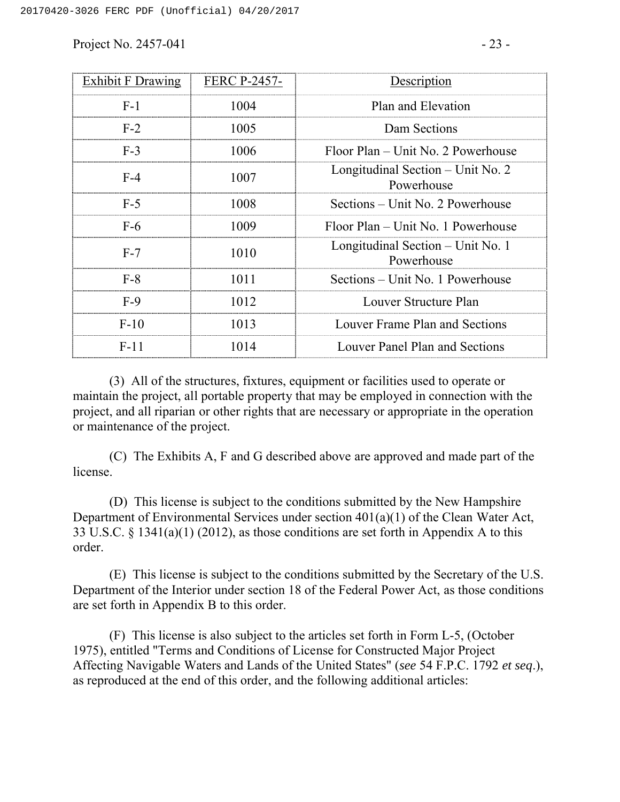Project No.  $2457-041$  -  $23 -$ 

| Exhibit F Drawing | <b>FERC P-2457-</b> | Description                                       |  |
|-------------------|---------------------|---------------------------------------------------|--|
| $F-1$             | 1004                | Plan and Elevation                                |  |
| $F-2$             | 1005                | Dam Sections                                      |  |
| $F-3$             | 1006                | Floor Plan – Unit No. 2 Powerhouse                |  |
| $F-4$             | 1007                | Longitudinal Section $-$ Unit No. 2<br>Powerhouse |  |
| $F-5$             | 1008                | Sections – Unit No. 2 Powerhouse                  |  |
| $F-6$             | 1009                | Floor Plan – Unit No. 1 Powerhouse                |  |
| $F-7$             | 1010                | Longitudinal Section – Unit No. 1<br>Powerhouse   |  |
| $F-8$             | 1011                | Sections – Unit No. 1 Powerhouse                  |  |
| $F-9$             | 1012                | Louver Structure Plan                             |  |
| $F-10$            | 1013                | Louver Frame Plan and Sections                    |  |
| $F-11$            | 1014                | Louver Panel Plan and Sections                    |  |

(3) All of the structures, fixtures, equipment or facilities used to operate or maintain the project, all portable property that may be employed in connection with the project, and all riparian or other rights that are necessary or appropriate in the operation or maintenance of the project.

(C) The Exhibits A, F and G described above are approved and made part of the license.

(D) This license is subject to the conditions submitted by the New Hampshire Department of Environmental Services under section 401(a)(1) of the Clean Water Act, 33 U.S.C. § 1341(a)(1) (2012), as those conditions are set forth in Appendix A to this order.

(E) This license is subject to the conditions submitted by the Secretary of the U.S. Department of the Interior under section 18 of the Federal Power Act, as those conditions are set forth in Appendix B to this order.

(F) This license is also subject to the articles set forth in Form L-5, (October 1975), entitled "Terms and Conditions of License for Constructed Major Project Affecting Navigable Waters and Lands of the United States" (*see* 54 F.P.C. 1792 *et seq*.), as reproduced at the end of this order, and the following additional articles: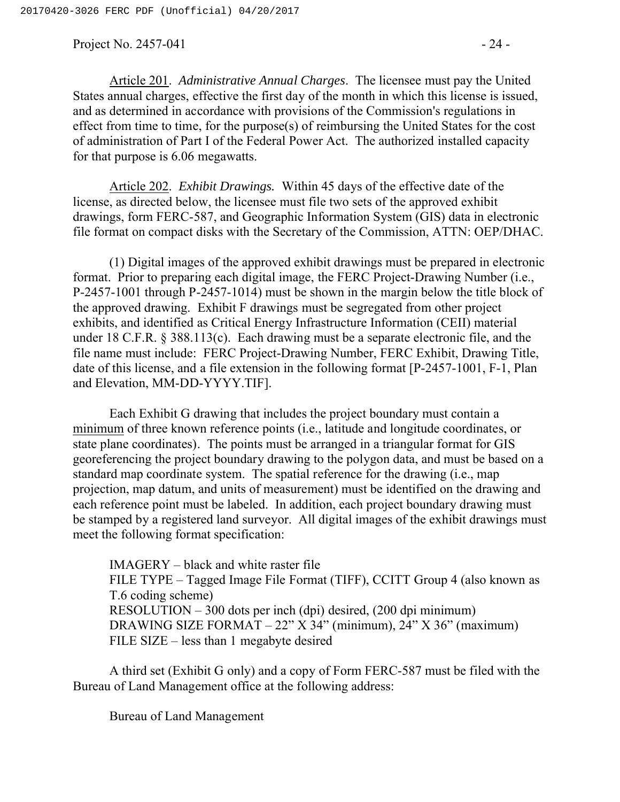Project No.  $2457-041$  -  $24 -$ 

Article 201. *Administrative Annual Charges*. The licensee must pay the United States annual charges, effective the first day of the month in which this license is issued, and as determined in accordance with provisions of the Commission's regulations in effect from time to time, for the purpose(s) of reimbursing the United States for the cost of administration of Part I of the Federal Power Act. The authorized installed capacity for that purpose is 6.06 megawatts.

Article 202. *Exhibit Drawings.* Within 45 days of the effective date of the license, as directed below, the licensee must file two sets of the approved exhibit drawings, form FERC-587, and Geographic Information System (GIS) data in electronic file format on compact disks with the Secretary of the Commission, ATTN: OEP/DHAC.

(1) Digital images of the approved exhibit drawings must be prepared in electronic format. Prior to preparing each digital image, the FERC Project-Drawing Number (i.e., P-2457-1001 through P-2457-1014) must be shown in the margin below the title block of the approved drawing. Exhibit F drawings must be segregated from other project exhibits, and identified as Critical Energy Infrastructure Information (CEII) material under 18 C.F.R. § 388.113(c). Each drawing must be a separate electronic file, and the file name must include: FERC Project-Drawing Number, FERC Exhibit, Drawing Title, date of this license, and a file extension in the following format [P-2457-1001, F-1, Plan and Elevation, MM-DD-YYYY.TIF].

Each Exhibit G drawing that includes the project boundary must contain a minimum of three known reference points (i.e., latitude and longitude coordinates, or state plane coordinates). The points must be arranged in a triangular format for GIS georeferencing the project boundary drawing to the polygon data, and must be based on a standard map coordinate system. The spatial reference for the drawing (i.e., map projection, map datum, and units of measurement) must be identified on the drawing and each reference point must be labeled. In addition, each project boundary drawing must be stamped by a registered land surveyor. All digital images of the exhibit drawings must meet the following format specification:

IMAGERY – black and white raster file FILE TYPE – Tagged Image File Format (TIFF), CCITT Group 4 (also known as T.6 coding scheme) RESOLUTION – 300 dots per inch (dpi) desired, (200 dpi minimum) DRAWING SIZE FORMAT – 22" X 34" (minimum), 24" X 36" (maximum) FILE SIZE – less than 1 megabyte desired

A third set (Exhibit G only) and a copy of Form FERC-587 must be filed with the Bureau of Land Management office at the following address:

Bureau of Land Management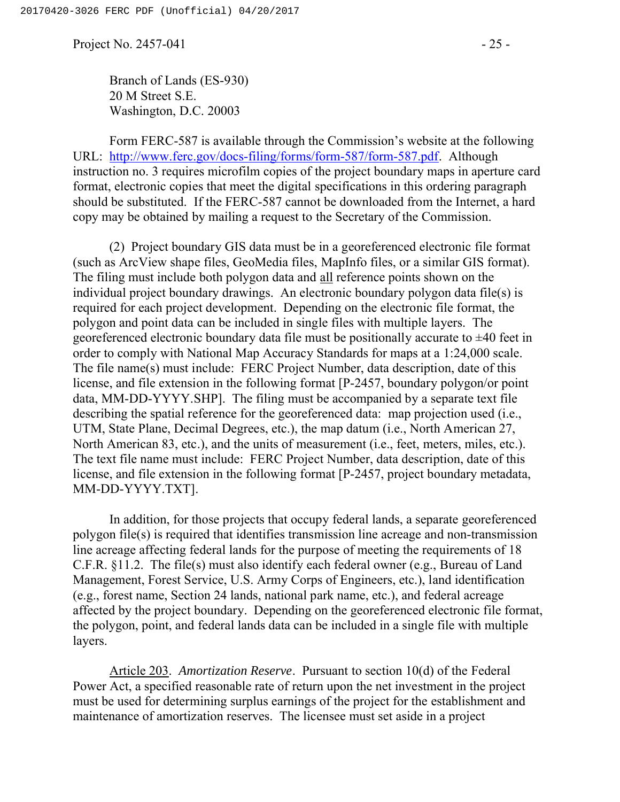Project No. 2457-041  $-25$  -

Branch of Lands (ES-930) 20 M Street S.E. Washington, D.C. 20003

Form FERC-587 is available through the Commission's website at the following URL: http://www.ferc.gov/docs-filing/forms/form-587/form-587.pdf. Although instruction no. 3 requires microfilm copies of the project boundary maps in aperture card format, electronic copies that meet the digital specifications in this ordering paragraph should be substituted. If the FERC-587 cannot be downloaded from the Internet, a hard copy may be obtained by mailing a request to the Secretary of the Commission.

(2) Project boundary GIS data must be in a georeferenced electronic file format (such as ArcView shape files, GeoMedia files, MapInfo files, or a similar GIS format). The filing must include both polygon data and all reference points shown on the individual project boundary drawings. An electronic boundary polygon data file(s) is required for each project development. Depending on the electronic file format, the polygon and point data can be included in single files with multiple layers. The georeferenced electronic boundary data file must be positionally accurate to  $\pm 40$  feet in order to comply with National Map Accuracy Standards for maps at a 1:24,000 scale. The file name(s) must include: FERC Project Number, data description, date of this license, and file extension in the following format [P-2457, boundary polygon/or point data, MM-DD-YYYY.SHP]. The filing must be accompanied by a separate text file describing the spatial reference for the georeferenced data: map projection used (i.e., UTM, State Plane, Decimal Degrees, etc.), the map datum (i.e., North American 27, North American 83, etc.), and the units of measurement (i.e., feet, meters, miles, etc.). The text file name must include: FERC Project Number, data description, date of this license, and file extension in the following format [P-2457, project boundary metadata, MM-DD-YYYY.TXT].

In addition, for those projects that occupy federal lands, a separate georeferenced polygon file(s) is required that identifies transmission line acreage and non-transmission line acreage affecting federal lands for the purpose of meeting the requirements of 18 C.F.R. §11.2. The file(s) must also identify each federal owner (e.g., Bureau of Land Management, Forest Service, U.S. Army Corps of Engineers, etc.), land identification (e.g., forest name, Section 24 lands, national park name, etc.), and federal acreage affected by the project boundary. Depending on the georeferenced electronic file format, the polygon, point, and federal lands data can be included in a single file with multiple layers.

Article 203. *Amortization Reserve*. Pursuant to section 10(d) of the Federal Power Act, a specified reasonable rate of return upon the net investment in the project must be used for determining surplus earnings of the project for the establishment and maintenance of amortization reserves. The licensee must set aside in a project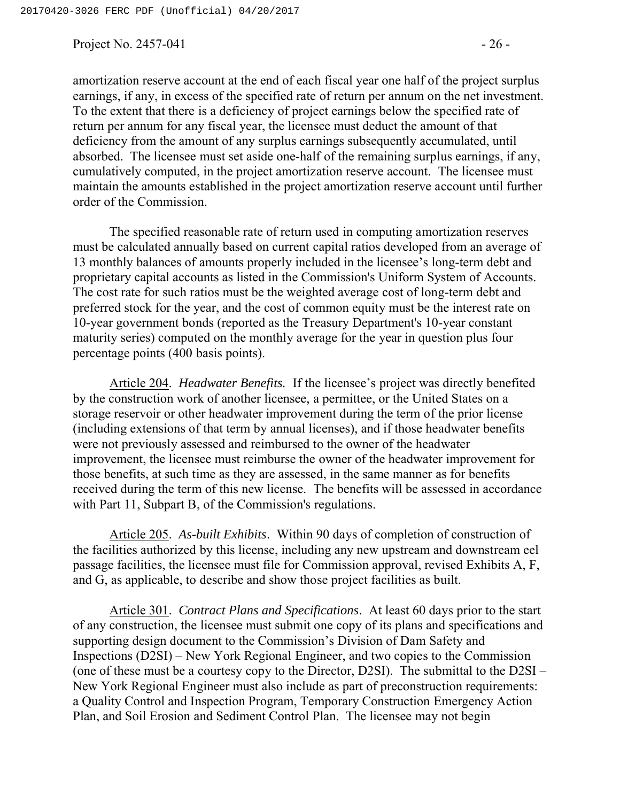Project No. 2457-041  $-26$  -

absorbed. The licensee must set aside one-half of the remaining surplus earnings, if any, cumulatively computed, in the project amortization reserve account. The licensee must maintain the amounts established in the project amortization reserve account until further order of the Commission.

The specified reasonable rate of return used in computing amortization reserves must be calculated annually based on current capital ratios developed from an average of 13 monthly balances of amounts properly included in the licensee's long-term debt and proprietary capital accounts as listed in the Commission's Uniform System of Accounts. The cost rate for such ratios must be the weighted average cost of long-term debt and preferred stock for the year, and the cost of common equity must be the interest rate on 10-year government bonds (reported as the Treasury Department's 10-year constant maturity series) computed on the monthly average for the year in question plus four percentage points (400 basis points).

Article 204. *Headwater Benefits.* If the licensee's project was directly benefited by the construction work of another licensee, a permittee, or the United States on a storage reservoir or other headwater improvement during the term of the prior license (including extensions of that term by annual licenses), and if those headwater benefits were not previously assessed and reimbursed to the owner of the headwater improvement, the licensee must reimburse the owner of the headwater improvement for those benefits, at such time as they are assessed, in the same manner as for benefits received during the term of this new license. The benefits will be assessed in accordance with Part 11, Subpart B, of the Commission's regulations.

Article 205. *As-built Exhibits*. Within 90 days of completion of construction of the facilities authorized by this license, including any new upstream and downstream eel passage facilities, the licensee must file for Commission approval, revised Exhibits A, F, and G, as applicable, to describe and show those project facilities as built.

Article 301. *Contract Plans and Specifications*. At least 60 days prior to the start of any construction, the licensee must submit one copy of its plans and specifications and supporting design document to the Commission's Division of Dam Safety and Inspections (D2SI) – New York Regional Engineer, and two copies to the Commission (one of these must be a courtesy copy to the Director, D2SI). The submittal to the D2SI – New York Regional Engineer must also include as part of preconstruction requirements: a Quality Control and Inspection Program, Temporary Construction Emergency Action Plan, and Soil Erosion and Sediment Control Plan. The licensee may not begin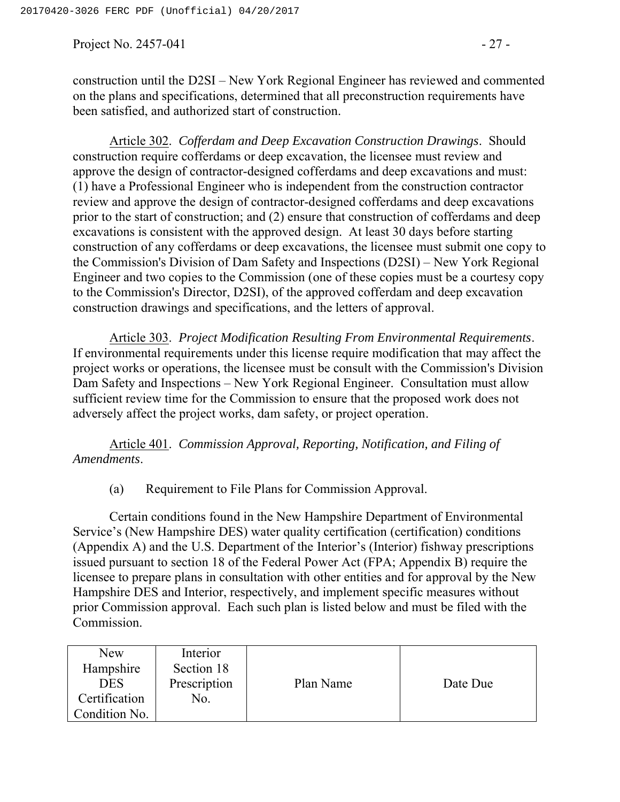Project No. 2457-041  $-27 -$ 

construction until the D2SI – New York Regional Engineer has reviewed and commented on the plans and specifications, determined that all preconstruction requirements have been satisfied, and authorized start of construction.

Article 302. *Cofferdam and Deep Excavation Construction Drawings*. Should construction require cofferdams or deep excavation, the licensee must review and approve the design of contractor-designed cofferdams and deep excavations and must: (1) have a Professional Engineer who is independent from the construction contractor review and approve the design of contractor-designed cofferdams and deep excavations prior to the start of construction; and (2) ensure that construction of cofferdams and deep excavations is consistent with the approved design. At least 30 days before starting construction of any cofferdams or deep excavations, the licensee must submit one copy to the Commission's Division of Dam Safety and Inspections (D2SI) – New York Regional Engineer and two copies to the Commission (one of these copies must be a courtesy copy to the Commission's Director, D2SI), of the approved cofferdam and deep excavation construction drawings and specifications, and the letters of approval.

Article 303. *Project Modification Resulting From Environmental Requirements*. If environmental requirements under this license require modification that may affect the project works or operations, the licensee must be consult with the Commission's Division Dam Safety and Inspections – New York Regional Engineer. Consultation must allow sufficient review time for the Commission to ensure that the proposed work does not adversely affect the project works, dam safety, or project operation.

Article 401. *Commission Approval, Reporting, Notification, and Filing of Amendments*.

(a) Requirement to File Plans for Commission Approval.

Certain conditions found in the New Hampshire Department of Environmental Service's (New Hampshire DES) water quality certification (certification) conditions (Appendix A) and the U.S. Department of the Interior's (Interior) fishway prescriptions issued pursuant to section 18 of the Federal Power Act (FPA; Appendix B) require the licensee to prepare plans in consultation with other entities and for approval by the New Hampshire DES and Interior, respectively, and implement specific measures without prior Commission approval. Each such plan is listed below and must be filed with the Commission.

| New           | Interior     |           |          |
|---------------|--------------|-----------|----------|
| Hampshire     | Section 18   |           |          |
| <b>DES</b>    | Prescription | Plan Name | Date Due |
| Certification | No.          |           |          |
| Condition No. |              |           |          |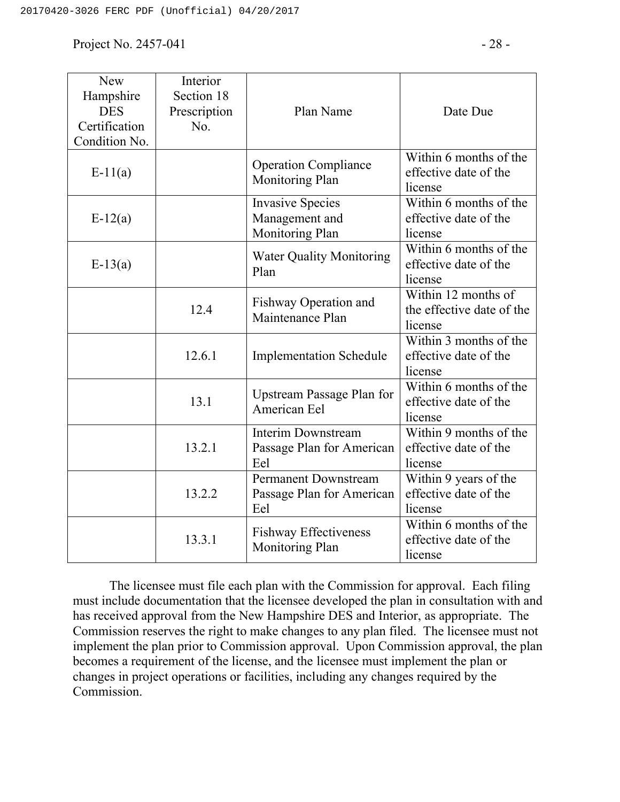Project No.  $2457-041$  -  $28-$ 

| <b>New</b><br>Hampshire<br><b>DES</b><br>Certification<br>Condition No. | Interior<br>Section 18<br>Prescription<br>No. | Plan Name                                                       | Date Due                                                    |
|-------------------------------------------------------------------------|-----------------------------------------------|-----------------------------------------------------------------|-------------------------------------------------------------|
| $E-11(a)$                                                               |                                               | <b>Operation Compliance</b><br>Monitoring Plan                  | Within 6 months of the<br>effective date of the<br>license  |
| $E-12(a)$                                                               |                                               | <b>Invasive Species</b><br>Management and<br>Monitoring Plan    | Within 6 months of the<br>effective date of the<br>license  |
| $E-13(a)$                                                               |                                               | <b>Water Quality Monitoring</b><br>Plan                         | Within 6 months of the<br>effective date of the<br>license  |
|                                                                         | 12.4                                          | Fishway Operation and<br>Maintenance Plan                       | Within 12 months of<br>the effective date of the<br>license |
|                                                                         | 12.6.1                                        | <b>Implementation Schedule</b>                                  | Within 3 months of the<br>effective date of the<br>license  |
|                                                                         | 13.1                                          | <b>Upstream Passage Plan for</b><br>American Eel                | Within 6 months of the<br>effective date of the<br>license  |
|                                                                         | 13.2.1                                        | <b>Interim Downstream</b><br>Passage Plan for American<br>Eel   | Within 9 months of the<br>effective date of the<br>license  |
|                                                                         | 13.2.2                                        | <b>Permanent Downstream</b><br>Passage Plan for American<br>Eel | Within 9 years of the<br>effective date of the<br>license   |
|                                                                         | 13.3.1                                        | <b>Fishway Effectiveness</b><br>Monitoring Plan                 | Within 6 months of the<br>effective date of the<br>license  |

The licensee must file each plan with the Commission for approval. Each filing must include documentation that the licensee developed the plan in consultation with and has received approval from the New Hampshire DES and Interior, as appropriate. The Commission reserves the right to make changes to any plan filed. The licensee must not implement the plan prior to Commission approval. Upon Commission approval, the plan becomes a requirement of the license, and the licensee must implement the plan or changes in project operations or facilities, including any changes required by the Commission.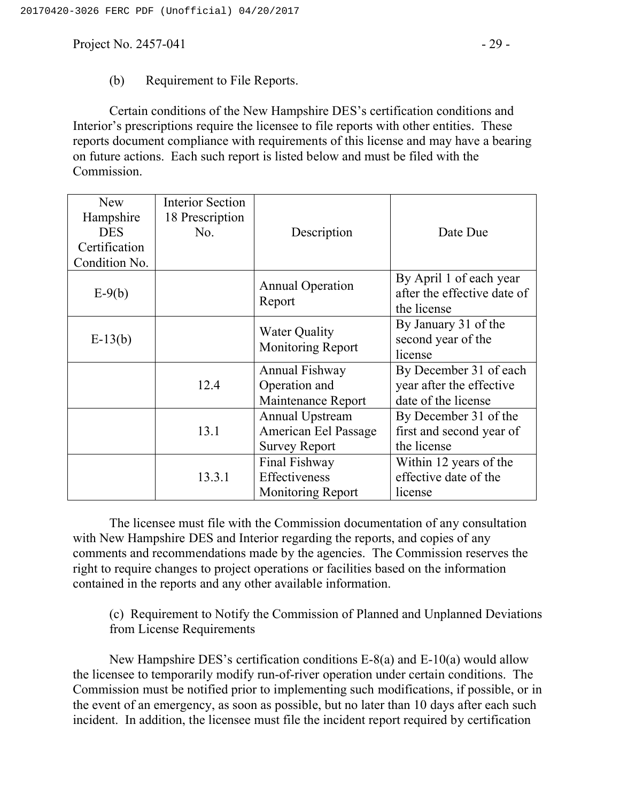Project No.  $2457-041$  -  $29-$ 

#### (b) Requirement to File Reports.

Certain conditions of the New Hampshire DES's certification conditions and Interior's prescriptions require the licensee to file reports with other entities. These reports document compliance with requirements of this license and may have a bearing on future actions. Each such report is listed below and must be filed with the Commission.

| <b>New</b><br>Hampshire<br><b>DES</b><br>Certification<br>Condition No. | <b>Interior Section</b><br>18 Prescription<br>No. | Description                                                            | Date Due                                                                  |
|-------------------------------------------------------------------------|---------------------------------------------------|------------------------------------------------------------------------|---------------------------------------------------------------------------|
| $E-9(b)$                                                                |                                                   | <b>Annual Operation</b><br>Report                                      | By April 1 of each year<br>after the effective date of<br>the license     |
| $E-13(b)$                                                               |                                                   | <b>Water Quality</b><br>Monitoring Report                              | By January 31 of the<br>second year of the<br>license                     |
|                                                                         | 12.4                                              | Annual Fishway<br>Operation and<br>Maintenance Report                  | By December 31 of each<br>year after the effective<br>date of the license |
|                                                                         | 13.1                                              | <b>Annual Upstream</b><br>American Eel Passage<br><b>Survey Report</b> | By December 31 of the<br>first and second year of<br>the license          |
|                                                                         | 13.3.1                                            | Final Fishway<br>Effectiveness<br><b>Monitoring Report</b>             | Within 12 years of the<br>effective date of the<br>license                |

The licensee must file with the Commission documentation of any consultation with New Hampshire DES and Interior regarding the reports, and copies of any comments and recommendations made by the agencies. The Commission reserves the right to require changes to project operations or facilities based on the information contained in the reports and any other available information.

(c) Requirement to Notify the Commission of Planned and Unplanned Deviations from License Requirements

New Hampshire DES's certification conditions E-8(a) and E-10(a) would allow the licensee to temporarily modify run-of-river operation under certain conditions. The Commission must be notified prior to implementing such modifications, if possible, or in the event of an emergency, as soon as possible, but no later than 10 days after each such incident. In addition, the licensee must file the incident report required by certification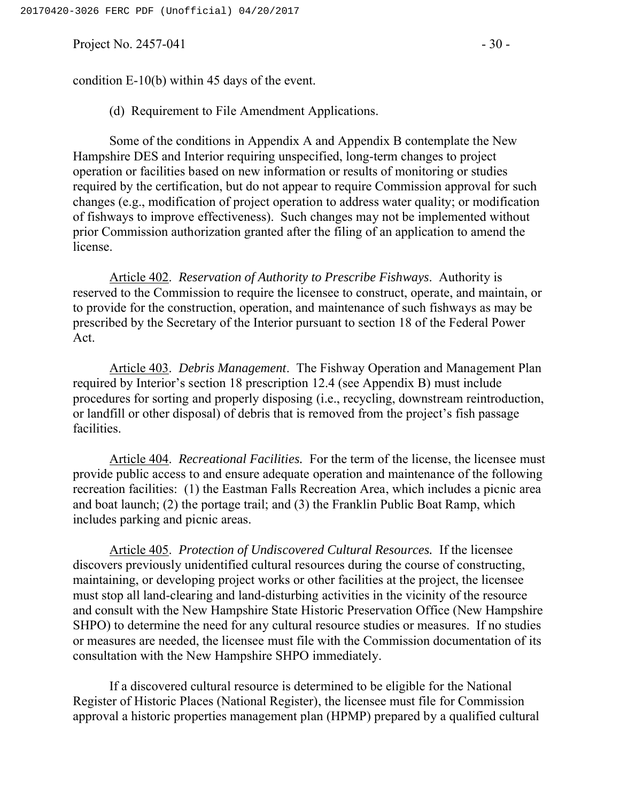Project No.  $2457-041$  - 30 -

(d) Requirement to File Amendment Applications.

Some of the conditions in Appendix A and Appendix B contemplate the New Hampshire DES and Interior requiring unspecified, long-term changes to project operation or facilities based on new information or results of monitoring or studies required by the certification, but do not appear to require Commission approval for such changes (e.g., modification of project operation to address water quality; or modification of fishways to improve effectiveness). Such changes may not be implemented without prior Commission authorization granted after the filing of an application to amend the license.

Article 402. *Reservation of Authority to Prescribe Fishways*. Authority is reserved to the Commission to require the licensee to construct, operate, and maintain, or to provide for the construction, operation, and maintenance of such fishways as may be prescribed by the Secretary of the Interior pursuant to section 18 of the Federal Power Act.

Article 403. *Debris Management*. The Fishway Operation and Management Plan required by Interior's section 18 prescription 12.4 (see Appendix B) must include procedures for sorting and properly disposing (i.e., recycling, downstream reintroduction, or landfill or other disposal) of debris that is removed from the project's fish passage facilities.

Article 404. *Recreational Facilities.* For the term of the license, the licensee must provide public access to and ensure adequate operation and maintenance of the following recreation facilities: (1) the Eastman Falls Recreation Area, which includes a picnic area and boat launch; (2) the portage trail; and (3) the Franklin Public Boat Ramp, which includes parking and picnic areas.

Article 405. *Protection of Undiscovered Cultural Resources.* If the licensee discovers previously unidentified cultural resources during the course of constructing, maintaining, or developing project works or other facilities at the project, the licensee must stop all land-clearing and land-disturbing activities in the vicinity of the resource and consult with the New Hampshire State Historic Preservation Office (New Hampshire SHPO) to determine the need for any cultural resource studies or measures. If no studies or measures are needed, the licensee must file with the Commission documentation of its consultation with the New Hampshire SHPO immediately.

If a discovered cultural resource is determined to be eligible for the National Register of Historic Places (National Register), the licensee must file for Commission approval a historic properties management plan (HPMP) prepared by a qualified cultural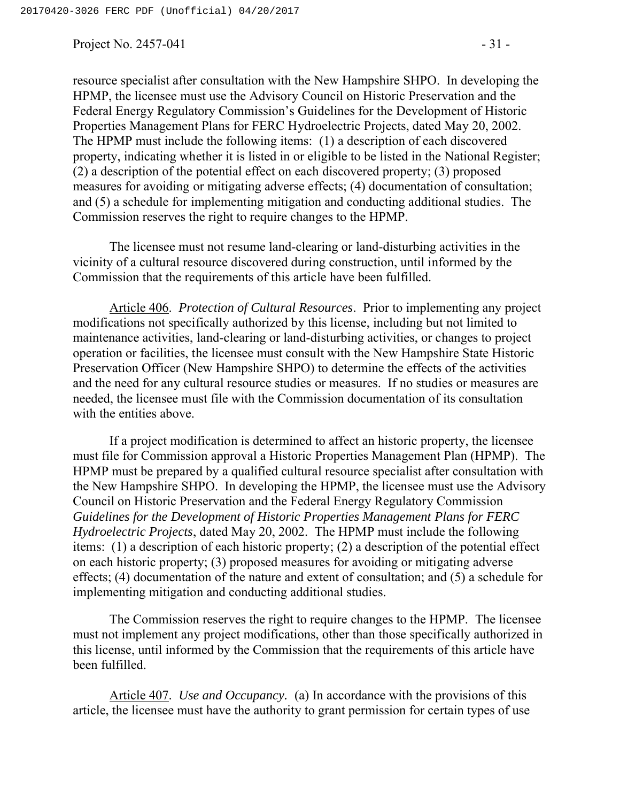Project No.  $2457-041$  - 31 -

resource specialist after consultation with the New Hampshire SHPO. In developing the HPMP, the licensee must use the Advisory Council on Historic Preservation and the Federal Energy Regulatory Commission's Guidelines for the Development of Historic Properties Management Plans for FERC Hydroelectric Projects, dated May 20, 2002. The HPMP must include the following items: (1) a description of each discovered property, indicating whether it is listed in or eligible to be listed in the National Register; (2) a description of the potential effect on each discovered property; (3) proposed measures for avoiding or mitigating adverse effects; (4) documentation of consultation; and (5) a schedule for implementing mitigation and conducting additional studies. The Commission reserves the right to require changes to the HPMP.

The licensee must not resume land-clearing or land-disturbing activities in the vicinity of a cultural resource discovered during construction, until informed by the Commission that the requirements of this article have been fulfilled.

Article 406. *Protection of Cultural Resources*. Prior to implementing any project modifications not specifically authorized by this license, including but not limited to maintenance activities, land-clearing or land-disturbing activities, or changes to project operation or facilities, the licensee must consult with the New Hampshire State Historic Preservation Officer (New Hampshire SHPO) to determine the effects of the activities and the need for any cultural resource studies or measures. If no studies or measures are needed, the licensee must file with the Commission documentation of its consultation with the entities above.

If a project modification is determined to affect an historic property, the licensee must file for Commission approval a Historic Properties Management Plan (HPMP). The HPMP must be prepared by a qualified cultural resource specialist after consultation with the New Hampshire SHPO. In developing the HPMP, the licensee must use the Advisory Council on Historic Preservation and the Federal Energy Regulatory Commission *Guidelines for the Development of Historic Properties Management Plans for FERC Hydroelectric Projects*, dated May 20, 2002. The HPMP must include the following items: (1) a description of each historic property; (2) a description of the potential effect on each historic property; (3) proposed measures for avoiding or mitigating adverse effects; (4) documentation of the nature and extent of consultation; and (5) a schedule for implementing mitigation and conducting additional studies.

The Commission reserves the right to require changes to the HPMP. The licensee must not implement any project modifications, other than those specifically authorized in this license, until informed by the Commission that the requirements of this article have been fulfilled.

Article 407. *Use and Occupancy.* (a) In accordance with the provisions of this article, the licensee must have the authority to grant permission for certain types of use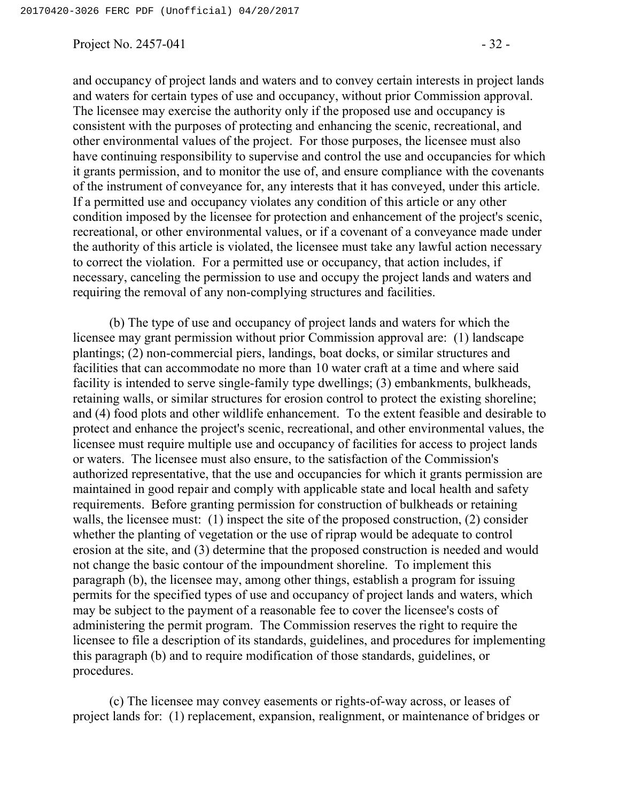Project No.  $2457-041$  - 32 -

and occupancy of project lands and waters and to convey certain interests in project lands and waters for certain types of use and occupancy, without prior Commission approval. The licensee may exercise the authority only if the proposed use and occupancy is consistent with the purposes of protecting and enhancing the scenic, recreational, and other environmental values of the project. For those purposes, the licensee must also have continuing responsibility to supervise and control the use and occupancies for which it grants permission, and to monitor the use of, and ensure compliance with the covenants of the instrument of conveyance for, any interests that it has conveyed, under this article. If a permitted use and occupancy violates any condition of this article or any other condition imposed by the licensee for protection and enhancement of the project's scenic, recreational, or other environmental values, or if a covenant of a conveyance made under the authority of this article is violated, the licensee must take any lawful action necessary to correct the violation. For a permitted use or occupancy, that action includes, if necessary, canceling the permission to use and occupy the project lands and waters and requiring the removal of any non-complying structures and facilities.

(b) The type of use and occupancy of project lands and waters for which the licensee may grant permission without prior Commission approval are: (1) landscape plantings; (2) non-commercial piers, landings, boat docks, or similar structures and facilities that can accommodate no more than 10 water craft at a time and where said facility is intended to serve single-family type dwellings; (3) embankments, bulkheads, retaining walls, or similar structures for erosion control to protect the existing shoreline; and (4) food plots and other wildlife enhancement. To the extent feasible and desirable to protect and enhance the project's scenic, recreational, and other environmental values, the licensee must require multiple use and occupancy of facilities for access to project lands or waters. The licensee must also ensure, to the satisfaction of the Commission's authorized representative, that the use and occupancies for which it grants permission are maintained in good repair and comply with applicable state and local health and safety requirements. Before granting permission for construction of bulkheads or retaining walls, the licensee must: (1) inspect the site of the proposed construction, (2) consider whether the planting of vegetation or the use of riprap would be adequate to control erosion at the site, and (3) determine that the proposed construction is needed and would not change the basic contour of the impoundment shoreline. To implement this paragraph (b), the licensee may, among other things, establish a program for issuing permits for the specified types of use and occupancy of project lands and waters, which may be subject to the payment of a reasonable fee to cover the licensee's costs of administering the permit program. The Commission reserves the right to require the licensee to file a description of its standards, guidelines, and procedures for implementing this paragraph (b) and to require modification of those standards, guidelines, or procedures.

(c) The licensee may convey easements or rights-of-way across, or leases of project lands for: (1) replacement, expansion, realignment, or maintenance of bridges or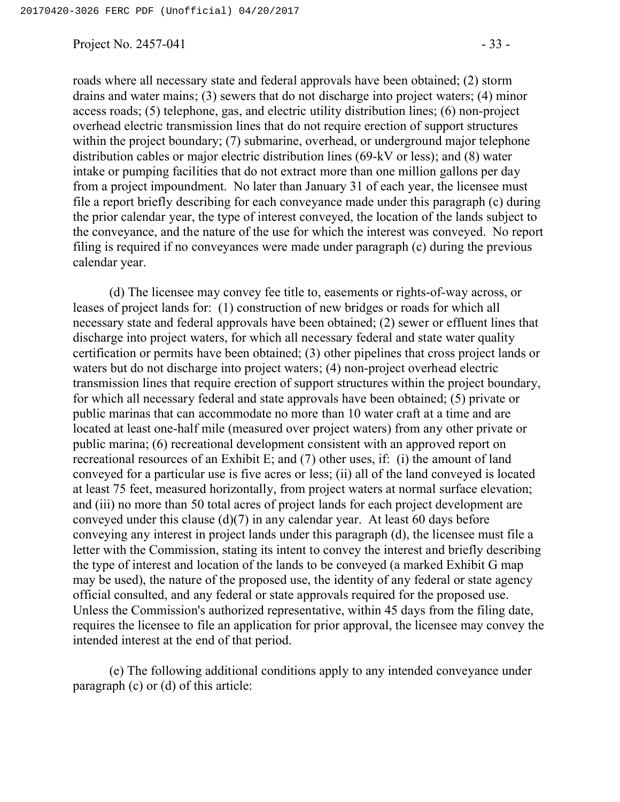Project No.  $2457-041$  - 33 -

roads where all necessary state and federal approvals have been obtained; (2) storm drains and water mains; (3) sewers that do not discharge into project waters; (4) minor access roads; (5) telephone, gas, and electric utility distribution lines; (6) non-project overhead electric transmission lines that do not require erection of support structures within the project boundary; (7) submarine, overhead, or underground major telephone distribution cables or major electric distribution lines (69-kV or less); and (8) water intake or pumping facilities that do not extract more than one million gallons per day from a project impoundment. No later than January 31 of each year, the licensee must file a report briefly describing for each conveyance made under this paragraph (c) during the prior calendar year, the type of interest conveyed, the location of the lands subject to the conveyance, and the nature of the use for which the interest was conveyed. No report filing is required if no conveyances were made under paragraph (c) during the previous calendar year.

(d) The licensee may convey fee title to, easements or rights-of-way across, or leases of project lands for: (1) construction of new bridges or roads for which all necessary state and federal approvals have been obtained; (2) sewer or effluent lines that discharge into project waters, for which all necessary federal and state water quality certification or permits have been obtained; (3) other pipelines that cross project lands or waters but do not discharge into project waters; (4) non-project overhead electric transmission lines that require erection of support structures within the project boundary, for which all necessary federal and state approvals have been obtained; (5) private or public marinas that can accommodate no more than 10 water craft at a time and are located at least one-half mile (measured over project waters) from any other private or public marina; (6) recreational development consistent with an approved report on recreational resources of an Exhibit E; and (7) other uses, if: (i) the amount of land conveyed for a particular use is five acres or less; (ii) all of the land conveyed is located at least 75 feet, measured horizontally, from project waters at normal surface elevation; and (iii) no more than 50 total acres of project lands for each project development are conveyed under this clause (d)(7) in any calendar year. At least 60 days before conveying any interest in project lands under this paragraph (d), the licensee must file a letter with the Commission, stating its intent to convey the interest and briefly describing the type of interest and location of the lands to be conveyed (a marked Exhibit G map may be used), the nature of the proposed use, the identity of any federal or state agency official consulted, and any federal or state approvals required for the proposed use. Unless the Commission's authorized representative, within 45 days from the filing date, requires the licensee to file an application for prior approval, the licensee may convey the intended interest at the end of that period.

(e) The following additional conditions apply to any intended conveyance under paragraph (c) or (d) of this article: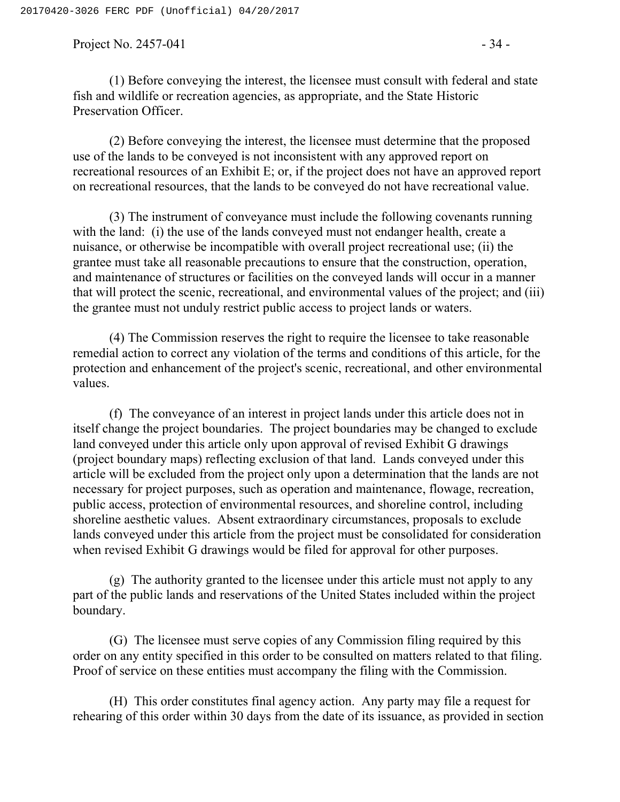Project No.  $2457-041$  - 34 -

(1) Before conveying the interest, the licensee must consult with federal and state fish and wildlife or recreation agencies, as appropriate, and the State Historic Preservation Officer.

(2) Before conveying the interest, the licensee must determine that the proposed use of the lands to be conveyed is not inconsistent with any approved report on recreational resources of an Exhibit E; or, if the project does not have an approved report on recreational resources, that the lands to be conveyed do not have recreational value.

(3) The instrument of conveyance must include the following covenants running with the land: (i) the use of the lands conveyed must not endanger health, create a nuisance, or otherwise be incompatible with overall project recreational use; (ii) the grantee must take all reasonable precautions to ensure that the construction, operation, and maintenance of structures or facilities on the conveyed lands will occur in a manner that will protect the scenic, recreational, and environmental values of the project; and (iii) the grantee must not unduly restrict public access to project lands or waters.

(4) The Commission reserves the right to require the licensee to take reasonable remedial action to correct any violation of the terms and conditions of this article, for the protection and enhancement of the project's scenic, recreational, and other environmental values.

(f) The conveyance of an interest in project lands under this article does not in itself change the project boundaries. The project boundaries may be changed to exclude land conveyed under this article only upon approval of revised Exhibit G drawings (project boundary maps) reflecting exclusion of that land. Lands conveyed under this article will be excluded from the project only upon a determination that the lands are not necessary for project purposes, such as operation and maintenance, flowage, recreation, public access, protection of environmental resources, and shoreline control, including shoreline aesthetic values. Absent extraordinary circumstances, proposals to exclude lands conveyed under this article from the project must be consolidated for consideration when revised Exhibit G drawings would be filed for approval for other purposes.

(g) The authority granted to the licensee under this article must not apply to any part of the public lands and reservations of the United States included within the project boundary.

(G) The licensee must serve copies of any Commission filing required by this order on any entity specified in this order to be consulted on matters related to that filing. Proof of service on these entities must accompany the filing with the Commission.

(H) This order constitutes final agency action. Any party may file a request for rehearing of this order within 30 days from the date of its issuance, as provided in section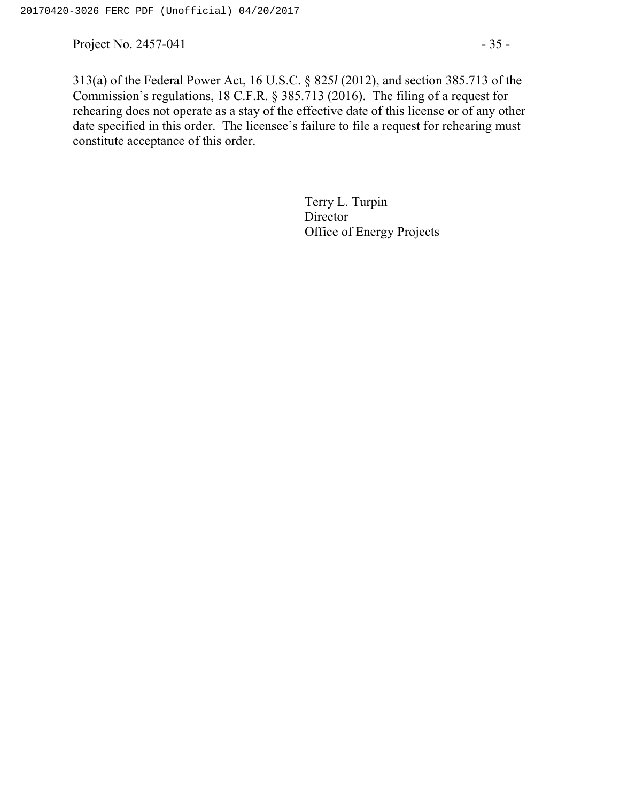Project No. 2457-041  $-35$  -

313(a) of the Federal Power Act, 16 U.S.C. § 825*l* (2012), and section 385.713 of the Commission's regulations, 18 C.F.R. § 385.713 (2016). The filing of a request for rehearing does not operate as a stay of the effective date of this license or of any other date specified in this order. The licensee's failure to file a request for rehearing must constitute acceptance of this order.

> Terry L. Turpin **Director** Office of Energy Projects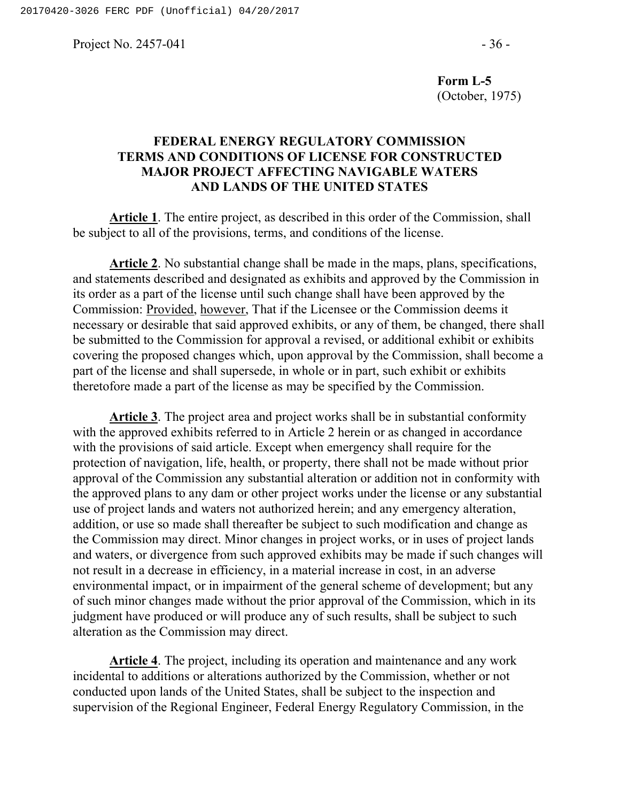Project No.  $2457-041$  - 36 -

**Form L-5**  (October, 1975)

#### **FEDERAL ENERGY REGULATORY COMMISSION TERMS AND CONDITIONS OF LICENSE FOR CONSTRUCTED MAJOR PROJECT AFFECTING NAVIGABLE WATERS AND LANDS OF THE UNITED STATES**

**Article 1**. The entire project, as described in this order of the Commission, shall be subject to all of the provisions, terms, and conditions of the license.

**Article 2**. No substantial change shall be made in the maps, plans, specifications, and statements described and designated as exhibits and approved by the Commission in its order as a part of the license until such change shall have been approved by the Commission: Provided, however, That if the Licensee or the Commission deems it necessary or desirable that said approved exhibits, or any of them, be changed, there shall be submitted to the Commission for approval a revised, or additional exhibit or exhibits covering the proposed changes which, upon approval by the Commission, shall become a part of the license and shall supersede, in whole or in part, such exhibit or exhibits theretofore made a part of the license as may be specified by the Commission.

**Article 3**. The project area and project works shall be in substantial conformity with the approved exhibits referred to in Article 2 herein or as changed in accordance with the provisions of said article. Except when emergency shall require for the protection of navigation, life, health, or property, there shall not be made without prior approval of the Commission any substantial alteration or addition not in conformity with the approved plans to any dam or other project works under the license or any substantial use of project lands and waters not authorized herein; and any emergency alteration, addition, or use so made shall thereafter be subject to such modification and change as the Commission may direct. Minor changes in project works, or in uses of project lands and waters, or divergence from such approved exhibits may be made if such changes will not result in a decrease in efficiency, in a material increase in cost, in an adverse environmental impact, or in impairment of the general scheme of development; but any of such minor changes made without the prior approval of the Commission, which in its judgment have produced or will produce any of such results, shall be subject to such alteration as the Commission may direct.

**Article 4**. The project, including its operation and maintenance and any work incidental to additions or alterations authorized by the Commission, whether or not conducted upon lands of the United States, shall be subject to the inspection and supervision of the Regional Engineer, Federal Energy Regulatory Commission, in the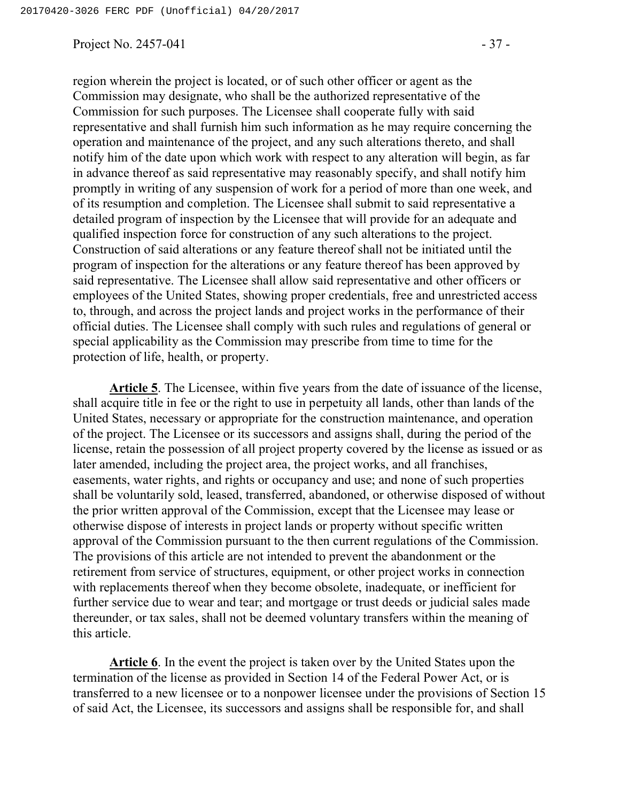Project No.  $2457-041$  -  $37-$ 

region wherein the project is located, or of such other officer or agent as the Commission may designate, who shall be the authorized representative of the Commission for such purposes. The Licensee shall cooperate fully with said representative and shall furnish him such information as he may require concerning the operation and maintenance of the project, and any such alterations thereto, and shall notify him of the date upon which work with respect to any alteration will begin, as far in advance thereof as said representative may reasonably specify, and shall notify him promptly in writing of any suspension of work for a period of more than one week, and of its resumption and completion. The Licensee shall submit to said representative a detailed program of inspection by the Licensee that will provide for an adequate and qualified inspection force for construction of any such alterations to the project. Construction of said alterations or any feature thereof shall not be initiated until the program of inspection for the alterations or any feature thereof has been approved by said representative. The Licensee shall allow said representative and other officers or employees of the United States, showing proper credentials, free and unrestricted access to, through, and across the project lands and project works in the performance of their official duties. The Licensee shall comply with such rules and regulations of general or special applicability as the Commission may prescribe from time to time for the protection of life, health, or property.

**Article 5**. The Licensee, within five years from the date of issuance of the license, shall acquire title in fee or the right to use in perpetuity all lands, other than lands of the United States, necessary or appropriate for the construction maintenance, and operation of the project. The Licensee or its successors and assigns shall, during the period of the license, retain the possession of all project property covered by the license as issued or as later amended, including the project area, the project works, and all franchises, easements, water rights, and rights or occupancy and use; and none of such properties shall be voluntarily sold, leased, transferred, abandoned, or otherwise disposed of without the prior written approval of the Commission, except that the Licensee may lease or otherwise dispose of interests in project lands or property without specific written approval of the Commission pursuant to the then current regulations of the Commission. The provisions of this article are not intended to prevent the abandonment or the retirement from service of structures, equipment, or other project works in connection with replacements thereof when they become obsolete, inadequate, or inefficient for further service due to wear and tear; and mortgage or trust deeds or judicial sales made thereunder, or tax sales, shall not be deemed voluntary transfers within the meaning of this article.

**Article 6**. In the event the project is taken over by the United States upon the termination of the license as provided in Section 14 of the Federal Power Act, or is transferred to a new licensee or to a nonpower licensee under the provisions of Section 15 of said Act, the Licensee, its successors and assigns shall be responsible for, and shall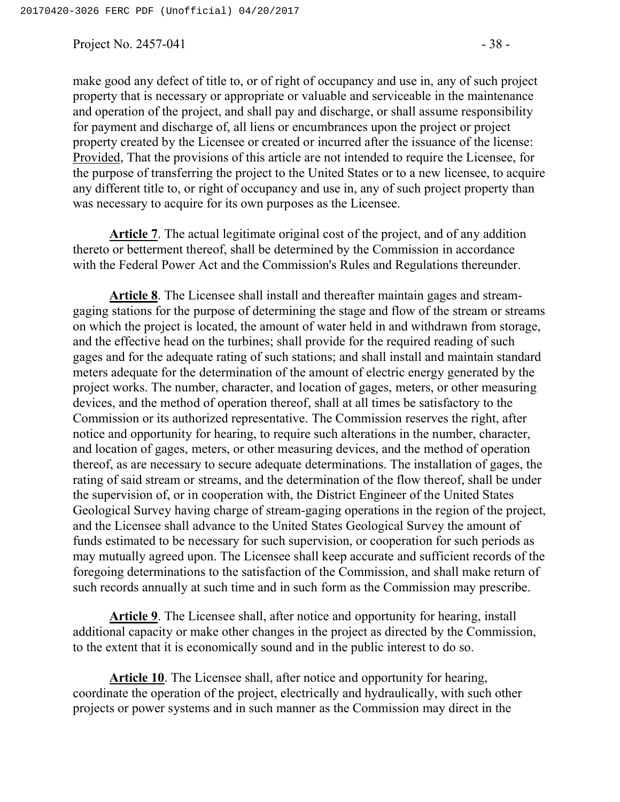Project No.  $2457-041$  - 38 -

make good any defect of title to, or of right of occupancy and use in, any of such project property that is necessary or appropriate or valuable and serviceable in the maintenance and operation of the project, and shall pay and discharge, or shall assume responsibility for payment and discharge of, all liens or encumbrances upon the project or project property created by the Licensee or created or incurred after the issuance of the license: Provided, That the provisions of this article are not intended to require the Licensee, for the purpose of transferring the project to the United States or to a new licensee, to acquire any different title to, or right of occupancy and use in, any of such project property than was necessary to acquire for its own purposes as the Licensee.

**Article 7**. The actual legitimate original cost of the project, and of any addition thereto or betterment thereof, shall be determined by the Commission in accordance with the Federal Power Act and the Commission's Rules and Regulations thereunder.

**Article 8**. The Licensee shall install and thereafter maintain gages and streamgaging stations for the purpose of determining the stage and flow of the stream or streams on which the project is located, the amount of water held in and withdrawn from storage, and the effective head on the turbines; shall provide for the required reading of such gages and for the adequate rating of such stations; and shall install and maintain standard meters adequate for the determination of the amount of electric energy generated by the project works. The number, character, and location of gages, meters, or other measuring devices, and the method of operation thereof, shall at all times be satisfactory to the Commission or its authorized representative. The Commission reserves the right, after notice and opportunity for hearing, to require such alterations in the number, character, and location of gages, meters, or other measuring devices, and the method of operation thereof, as are necessary to secure adequate determinations. The installation of gages, the rating of said stream or streams, and the determination of the flow thereof, shall be under the supervision of, or in cooperation with, the District Engineer of the United States Geological Survey having charge of stream-gaging operations in the region of the project, and the Licensee shall advance to the United States Geological Survey the amount of funds estimated to be necessary for such supervision, or cooperation for such periods as may mutually agreed upon. The Licensee shall keep accurate and sufficient records of the foregoing determinations to the satisfaction of the Commission, and shall make return of such records annually at such time and in such form as the Commission may prescribe.

**Article 9**. The Licensee shall, after notice and opportunity for hearing, install additional capacity or make other changes in the project as directed by the Commission, to the extent that it is economically sound and in the public interest to do so.

**Article 10**. The Licensee shall, after notice and opportunity for hearing, coordinate the operation of the project, electrically and hydraulically, with such other projects or power systems and in such manner as the Commission may direct in the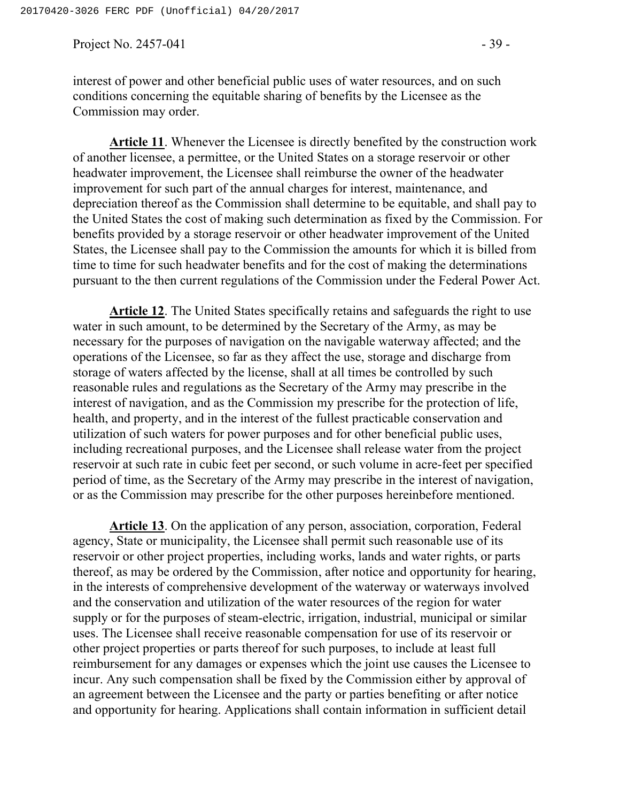Project No.  $2457-041$  - 39 -

interest of power and other beneficial public uses of water resources, and on such conditions concerning the equitable sharing of benefits by the Licensee as the Commission may order.

**Article 11**. Whenever the Licensee is directly benefited by the construction work of another licensee, a permittee, or the United States on a storage reservoir or other headwater improvement, the Licensee shall reimburse the owner of the headwater improvement for such part of the annual charges for interest, maintenance, and depreciation thereof as the Commission shall determine to be equitable, and shall pay to the United States the cost of making such determination as fixed by the Commission. For benefits provided by a storage reservoir or other headwater improvement of the United States, the Licensee shall pay to the Commission the amounts for which it is billed from time to time for such headwater benefits and for the cost of making the determinations pursuant to the then current regulations of the Commission under the Federal Power Act.

**Article 12**. The United States specifically retains and safeguards the right to use water in such amount, to be determined by the Secretary of the Army, as may be necessary for the purposes of navigation on the navigable waterway affected; and the operations of the Licensee, so far as they affect the use, storage and discharge from storage of waters affected by the license, shall at all times be controlled by such reasonable rules and regulations as the Secretary of the Army may prescribe in the interest of navigation, and as the Commission my prescribe for the protection of life, health, and property, and in the interest of the fullest practicable conservation and utilization of such waters for power purposes and for other beneficial public uses, including recreational purposes, and the Licensee shall release water from the project reservoir at such rate in cubic feet per second, or such volume in acre-feet per specified period of time, as the Secretary of the Army may prescribe in the interest of navigation, or as the Commission may prescribe for the other purposes hereinbefore mentioned.

**Article 13**. On the application of any person, association, corporation, Federal agency, State or municipality, the Licensee shall permit such reasonable use of its reservoir or other project properties, including works, lands and water rights, or parts thereof, as may be ordered by the Commission, after notice and opportunity for hearing, in the interests of comprehensive development of the waterway or waterways involved and the conservation and utilization of the water resources of the region for water supply or for the purposes of steam-electric, irrigation, industrial, municipal or similar uses. The Licensee shall receive reasonable compensation for use of its reservoir or other project properties or parts thereof for such purposes, to include at least full reimbursement for any damages or expenses which the joint use causes the Licensee to incur. Any such compensation shall be fixed by the Commission either by approval of an agreement between the Licensee and the party or parties benefiting or after notice and opportunity for hearing. Applications shall contain information in sufficient detail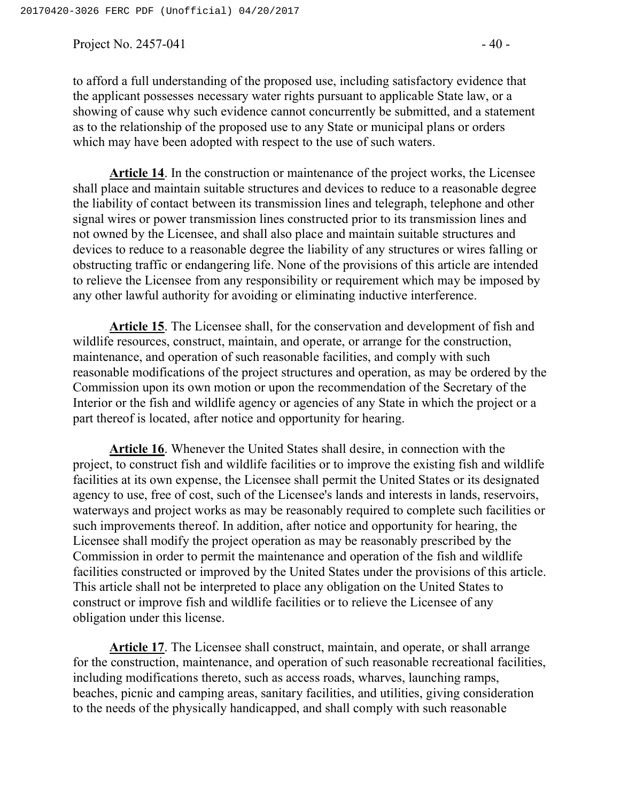Project No.  $2457-041$  - 40 -

to afford a full understanding of the proposed use, including satisfactory evidence that the applicant possesses necessary water rights pursuant to applicable State law, or a showing of cause why such evidence cannot concurrently be submitted, and a statement as to the relationship of the proposed use to any State or municipal plans or orders which may have been adopted with respect to the use of such waters.

**Article 14**. In the construction or maintenance of the project works, the Licensee shall place and maintain suitable structures and devices to reduce to a reasonable degree the liability of contact between its transmission lines and telegraph, telephone and other signal wires or power transmission lines constructed prior to its transmission lines and not owned by the Licensee, and shall also place and maintain suitable structures and devices to reduce to a reasonable degree the liability of any structures or wires falling or obstructing traffic or endangering life. None of the provisions of this article are intended to relieve the Licensee from any responsibility or requirement which may be imposed by any other lawful authority for avoiding or eliminating inductive interference.

**Article 15**. The Licensee shall, for the conservation and development of fish and wildlife resources, construct, maintain, and operate, or arrange for the construction, maintenance, and operation of such reasonable facilities, and comply with such reasonable modifications of the project structures and operation, as may be ordered by the Commission upon its own motion or upon the recommendation of the Secretary of the Interior or the fish and wildlife agency or agencies of any State in which the project or a part thereof is located, after notice and opportunity for hearing.

**Article 16**. Whenever the United States shall desire, in connection with the project, to construct fish and wildlife facilities or to improve the existing fish and wildlife facilities at its own expense, the Licensee shall permit the United States or its designated agency to use, free of cost, such of the Licensee's lands and interests in lands, reservoirs, waterways and project works as may be reasonably required to complete such facilities or such improvements thereof. In addition, after notice and opportunity for hearing, the Licensee shall modify the project operation as may be reasonably prescribed by the Commission in order to permit the maintenance and operation of the fish and wildlife facilities constructed or improved by the United States under the provisions of this article. This article shall not be interpreted to place any obligation on the United States to construct or improve fish and wildlife facilities or to relieve the Licensee of any obligation under this license.

**Article 17**. The Licensee shall construct, maintain, and operate, or shall arrange for the construction, maintenance, and operation of such reasonable recreational facilities, including modifications thereto, such as access roads, wharves, launching ramps, beaches, picnic and camping areas, sanitary facilities, and utilities, giving consideration to the needs of the physically handicapped, and shall comply with such reasonable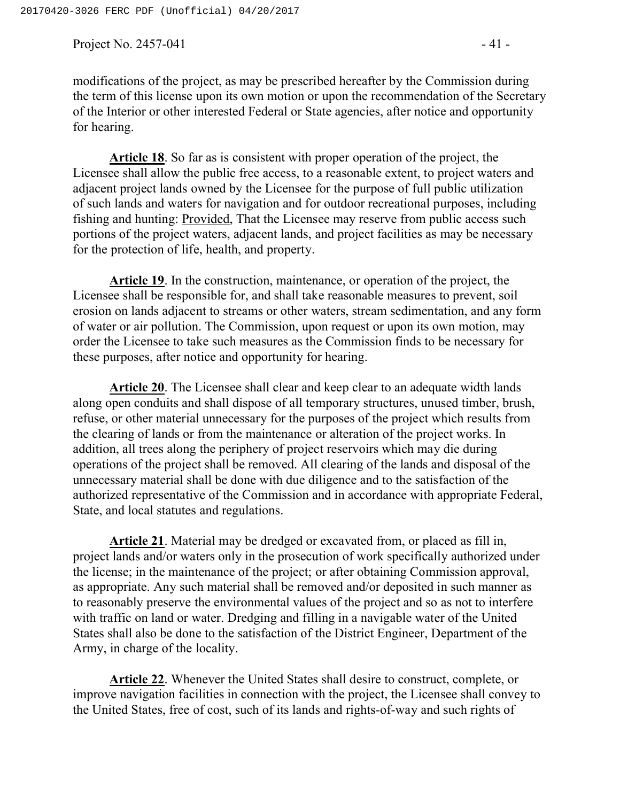Project No. 2457-041 - 41 -

modifications of the project, as may be prescribed hereafter by the Commission during the term of this license upon its own motion or upon the recommendation of the Secretary of the Interior or other interested Federal or State agencies, after notice and opportunity for hearing.

**Article 18**. So far as is consistent with proper operation of the project, the Licensee shall allow the public free access, to a reasonable extent, to project waters and adjacent project lands owned by the Licensee for the purpose of full public utilization of such lands and waters for navigation and for outdoor recreational purposes, including fishing and hunting: Provided, That the Licensee may reserve from public access such portions of the project waters, adjacent lands, and project facilities as may be necessary for the protection of life, health, and property.

**Article 19**. In the construction, maintenance, or operation of the project, the Licensee shall be responsible for, and shall take reasonable measures to prevent, soil erosion on lands adjacent to streams or other waters, stream sedimentation, and any form of water or air pollution. The Commission, upon request or upon its own motion, may order the Licensee to take such measures as the Commission finds to be necessary for these purposes, after notice and opportunity for hearing.

**Article 20**. The Licensee shall clear and keep clear to an adequate width lands along open conduits and shall dispose of all temporary structures, unused timber, brush, refuse, or other material unnecessary for the purposes of the project which results from the clearing of lands or from the maintenance or alteration of the project works. In addition, all trees along the periphery of project reservoirs which may die during operations of the project shall be removed. All clearing of the lands and disposal of the unnecessary material shall be done with due diligence and to the satisfaction of the authorized representative of the Commission and in accordance with appropriate Federal, State, and local statutes and regulations.

**Article 21**. Material may be dredged or excavated from, or placed as fill in, project lands and/or waters only in the prosecution of work specifically authorized under the license; in the maintenance of the project; or after obtaining Commission approval, as appropriate. Any such material shall be removed and/or deposited in such manner as to reasonably preserve the environmental values of the project and so as not to interfere with traffic on land or water. Dredging and filling in a navigable water of the United States shall also be done to the satisfaction of the District Engineer, Department of the Army, in charge of the locality.

**Article 22**. Whenever the United States shall desire to construct, complete, or improve navigation facilities in connection with the project, the Licensee shall convey to the United States, free of cost, such of its lands and rights-of-way and such rights of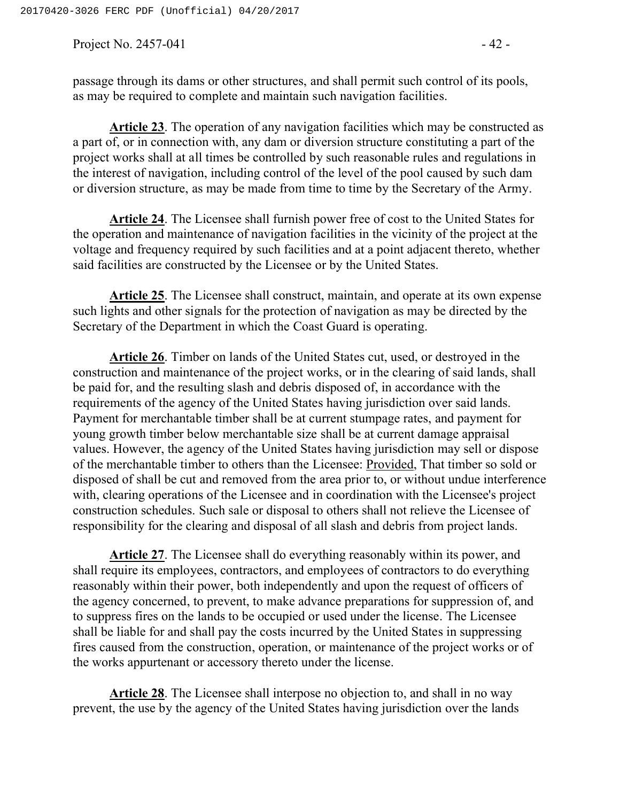Project No.  $2457-041$  - 42 -

passage through its dams or other structures, and shall permit such control of its pools, as may be required to complete and maintain such navigation facilities.

**Article 23**. The operation of any navigation facilities which may be constructed as a part of, or in connection with, any dam or diversion structure constituting a part of the project works shall at all times be controlled by such reasonable rules and regulations in the interest of navigation, including control of the level of the pool caused by such dam or diversion structure, as may be made from time to time by the Secretary of the Army.

**Article 24**. The Licensee shall furnish power free of cost to the United States for the operation and maintenance of navigation facilities in the vicinity of the project at the voltage and frequency required by such facilities and at a point adjacent thereto, whether said facilities are constructed by the Licensee or by the United States.

**Article 25**. The Licensee shall construct, maintain, and operate at its own expense such lights and other signals for the protection of navigation as may be directed by the Secretary of the Department in which the Coast Guard is operating.

**Article 26**. Timber on lands of the United States cut, used, or destroyed in the construction and maintenance of the project works, or in the clearing of said lands, shall be paid for, and the resulting slash and debris disposed of, in accordance with the requirements of the agency of the United States having jurisdiction over said lands. Payment for merchantable timber shall be at current stumpage rates, and payment for young growth timber below merchantable size shall be at current damage appraisal values. However, the agency of the United States having jurisdiction may sell or dispose of the merchantable timber to others than the Licensee: Provided, That timber so sold or disposed of shall be cut and removed from the area prior to, or without undue interference with, clearing operations of the Licensee and in coordination with the Licensee's project construction schedules. Such sale or disposal to others shall not relieve the Licensee of responsibility for the clearing and disposal of all slash and debris from project lands.

**Article 27**. The Licensee shall do everything reasonably within its power, and shall require its employees, contractors, and employees of contractors to do everything reasonably within their power, both independently and upon the request of officers of the agency concerned, to prevent, to make advance preparations for suppression of, and to suppress fires on the lands to be occupied or used under the license. The Licensee shall be liable for and shall pay the costs incurred by the United States in suppressing fires caused from the construction, operation, or maintenance of the project works or of the works appurtenant or accessory thereto under the license.

**Article 28**. The Licensee shall interpose no objection to, and shall in no way prevent, the use by the agency of the United States having jurisdiction over the lands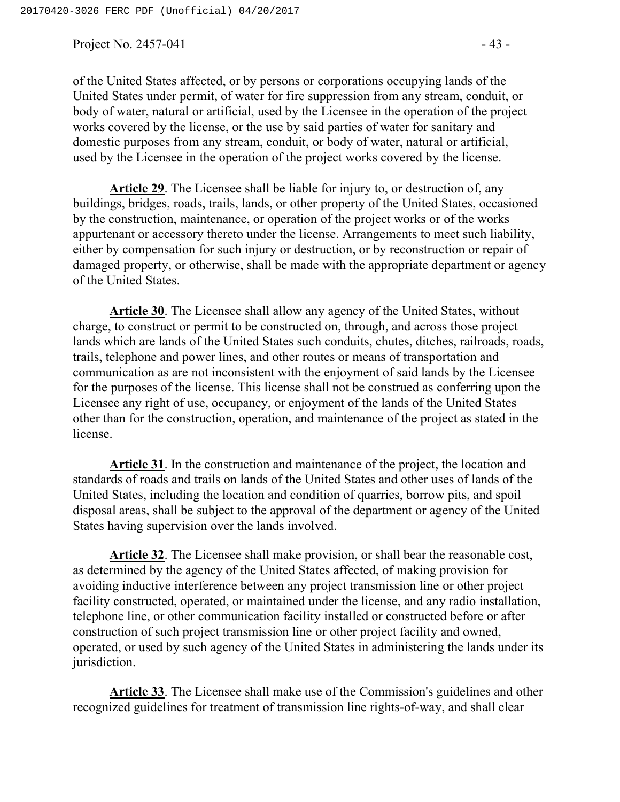Project No.  $2457-041$  - 43 -

of the United States affected, or by persons or corporations occupying lands of the United States under permit, of water for fire suppression from any stream, conduit, or body of water, natural or artificial, used by the Licensee in the operation of the project works covered by the license, or the use by said parties of water for sanitary and domestic purposes from any stream, conduit, or body of water, natural or artificial, used by the Licensee in the operation of the project works covered by the license.

**Article 29**. The Licensee shall be liable for injury to, or destruction of, any buildings, bridges, roads, trails, lands, or other property of the United States, occasioned by the construction, maintenance, or operation of the project works or of the works appurtenant or accessory thereto under the license. Arrangements to meet such liability, either by compensation for such injury or destruction, or by reconstruction or repair of damaged property, or otherwise, shall be made with the appropriate department or agency of the United States.

**Article 30**. The Licensee shall allow any agency of the United States, without charge, to construct or permit to be constructed on, through, and across those project lands which are lands of the United States such conduits, chutes, ditches, railroads, roads, trails, telephone and power lines, and other routes or means of transportation and communication as are not inconsistent with the enjoyment of said lands by the Licensee for the purposes of the license. This license shall not be construed as conferring upon the Licensee any right of use, occupancy, or enjoyment of the lands of the United States other than for the construction, operation, and maintenance of the project as stated in the license.

**Article 31**. In the construction and maintenance of the project, the location and standards of roads and trails on lands of the United States and other uses of lands of the United States, including the location and condition of quarries, borrow pits, and spoil disposal areas, shall be subject to the approval of the department or agency of the United States having supervision over the lands involved.

**Article 32**. The Licensee shall make provision, or shall bear the reasonable cost, as determined by the agency of the United States affected, of making provision for avoiding inductive interference between any project transmission line or other project facility constructed, operated, or maintained under the license, and any radio installation, telephone line, or other communication facility installed or constructed before or after construction of such project transmission line or other project facility and owned, operated, or used by such agency of the United States in administering the lands under its jurisdiction.

**Article 33**. The Licensee shall make use of the Commission's guidelines and other recognized guidelines for treatment of transmission line rights-of-way, and shall clear